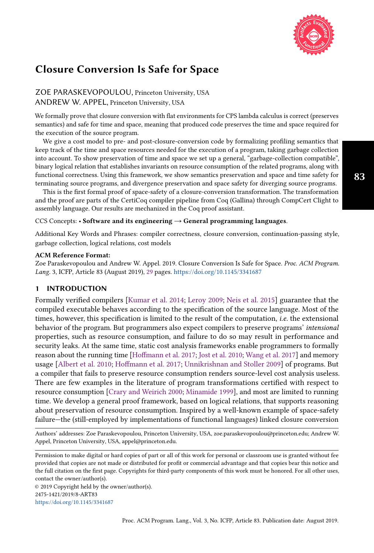

# Closure Conversion Is Safe for Space

ZOE PARASKEVOPOULOU, Princeton University, USA ANDREW W. APPEL, Princeton University, USA

We formally prove that closure conversion with flat environments for CPS lambda calculus is correct (preserves semantics) and safe for time and space, meaning that produced code preserves the time and space required for the execution of the source program.

We give a cost model to pre- and post-closure-conversion code by formalizing profiling semantics that keep track of the time and space resources needed for the execution of a program, taking garbage collection into account. To show preservation of time and space we set up a general, "garbage-collection compatible", binary logical relation that establishes invariants on resource consumption of the related programs, along with functional correctness. Using this framework, we show semantics preservation and space and time safety for terminating source programs, and divergence preservation and space safety for diverging source programs.

This is the first formal proof of space-safety of a closure-conversion transformation. The transformation and the proof are parts of the CertiCoq compiler pipeline from Coq (Gallina) through CompCert Clight to assembly language. Our results are mechanized in the Coq proof assistant.

## CCS Concepts: • Software and its engineering  $\rightarrow$  General programming languages.

Additional Key Words and Phrases: compiler correctness, closure conversion, continuation-passing style, garbage collection, logical relations, cost models

#### ACM Reference Format:

Zoe Paraskevopoulou and Andrew W. Appel. 2019. Closure Conversion Is Safe for Space. Proc. ACM Program. Lang. 3, ICFP, Article 83 (August 2019), [29](#page-28-0) pages. <https://doi.org/10.1145/3341687>

## 1 INTRODUCTION

Formally verified compilers [\[Kumar et al.](#page-28-1) [2014;](#page-28-1) [Leroy 2009;](#page-28-2) [Neis et al.](#page-28-3) [2015\]](#page-28-3) guarantee that the compiled executable behaves according to the specification of the source language. Most of the times, however, this specification is limited to the result of the computation, i.e. the extensional behavior of the program. But programmers also expect compilers to preserve programs' intensional properties, such as resource consumption, and failure to do so may result in performance and security leaks. At the same time, static cost analysis frameworks enable programmers to formally reason about the running time [\[Hoffmann et al.](#page-27-0) [2017;](#page-27-0) [Jost et al.](#page-27-1) [2010;](#page-27-1) [Wang et al.](#page-28-4) [2017\]](#page-28-4) and memory usage [\[Albert et al.](#page-27-2) [2010;](#page-27-2) [Hoffmann et al.](#page-27-0) [2017;](#page-27-0) [Unnikrishnan and Stoller 2009\]](#page-28-5) of programs. But a compiler that fails to preserve resource consumption renders source-level cost analysis useless. There are few examples in the literature of program transformations certified with respect to resource consumption [\[Crary and Weirich 2000;](#page-27-3) [Minamide 1999\]](#page-28-6), and most are limited to running time. We develop a general proof framework, based on logical relations, that supports reasoning about preservation of resource consumption. Inspired by a well-known example of space-safety failure–the (still-employed by implementations of functional languages) linked closure conversion

Authors' addresses: Zoe Paraskevopoulou, Princeton University, USA, zoe.paraskevopoulou@princeton.edu; Andrew W. Appel, Princeton University, USA, appel@princeton.edu.

Permission to make digital or hard copies of part or all of this work for personal or classroom use is granted without fee provided that copies are not made or distributed for profit or commercial advantage and that copies bear this notice and the full citation on the first page. Copyrights for third-party components of this work must be honored. For all other uses, contact the owner/author(s).

© 2019 Copyright held by the owner/author(s). 2475-1421/2019/8-ART83 <https://doi.org/10.1145/3341687>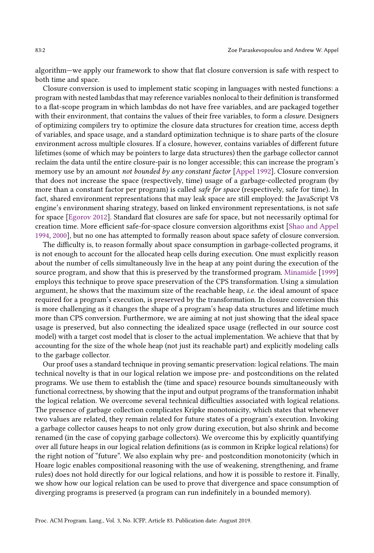algorithm–we apply our framework to show that flat closure conversion is safe with respect to both time and space.

Closure conversion is used to implement static scoping in languages with nested functions: a program with nested lambdas that may reference variables nonlocal to their definition is transformed to a flat-scope program in which lambdas do not have free variables, and are packaged together with their environment, that contains the values of their free variables, to form a *closure*. Designers of optimizing compilers try to optimize the closure data structures for creation time, access depth of variables, and space usage, and a standard optimization technique is to share parts of the closure environment across multiple closures. If a closure, however, contains variables of different future lifetimes (some of which may be pointers to large data structures) then the garbage collector cannot reclaim the data until the entire closure-pair is no longer accessible; this can increase the program's memory use by an amount not bounded by any constant factor [\[Appel 1992\]](#page-27-4). Closure conversion that does not increase the space (respectively, time) usage of a garbage-collected program (by more than a constant factor per program) is called *safe for space* (respectively, safe for time). In fact, shared environment representations that may leak space are still employed: the JavaScript V8 engine's environment sharing strategy, based on linked environment representations, is not safe for space [\[Egorov 2012\]](#page-27-5). Standard flat closures are safe for space, but not necessarily optimal for creation time. More efficient safe-for-space closure conversion algorithms exist [\[Shao and Appel](#page-28-7) [1994,](#page-28-7) [2000\]](#page-28-8), but no one has attempted to formally reason about space safety of closure conversion.

The difficulty is, to reason formally about space consumption in garbage-collected programs, it is not enough to account for the allocated heap cells during execution. One must explicitly reason about the number of cells simultaneously live in the heap at any point during the execution of the source program, and show that this is preserved by the transformed program. [Minamide](#page-28-6) [\[1999\]](#page-28-6) employs this technique to prove space preservation of the CPS transformation. Using a simulation argument, he shows that the maximum size of the reachable heap, i.e. the ideal amount of space required for a program's execution, is preserved by the transformation. In closure conversion this is more challenging as it changes the shape of a program's heap data structures and lifetime much more than CPS conversion. Furthermore, we are aiming at not just showing that the ideal space usage is preserved, but also connecting the idealized space usage (reflected in our source cost model) with a target cost model that is closer to the actual implementation. We achieve that that by accounting for the size of the whole heap (not just its reachable part) and explicitly modeling calls to the garbage collector.

Our proof uses a standard technique in proving semantic preservation: logical relations. The main technical novelty is that in our logical relation we impose pre- and postconditions on the related programs. We use them to establish the (time and space) resource bounds simultaneously with functional correctness, by showing that the input and output programs of the transformation inhabit the logical relation. We overcome several technical difficulties associated with logical relations. The presence of garbage collection complicates Kripke monotonicity, which states that whenever two values are related, they remain related for future states of a program's execution. Invoking a garbage collector causes heaps to not only grow during execution, but also shrink and become renamed (in the case of copying garbage collectors). We overcome this by explicitly quantifying over all future heaps in our logical relation definitions (as is common in Kripke logical relations) for the right notion of "future". We also explain why pre- and postcondition monotonicity (which in Hoare logic enables compositional reasoning with the use of weakening, strengthening, and frame rules) does not hold directly for our logical relations, and how it is possible to restore it. Finally, we show how our logical relation can be used to prove that divergence and space consumption of diverging programs is preserved (a program can run indefinitely in a bounded memory).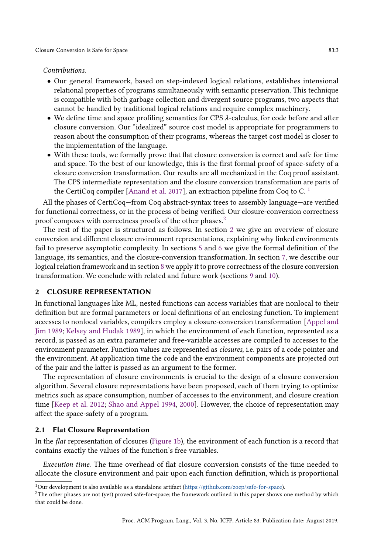### Contributions.

- Our general framework, based on step-indexed logical relations, establishes intensional relational properties of programs simultaneously with semantic preservation. This technique is compatible with both garbage collection and divergent source programs, two aspects that cannot be handled by traditional logical relations and require complex machinery.
- We define time and space profiling semantics for CPS  $\lambda$ -calculus, for code before and after closure conversion. Our "idealized" source cost model is appropriate for programmers to reason about the consumption of their programs, whereas the target cost model is closer to the implementation of the language.
- With these tools, we formally prove that flat closure conversion is correct and safe for time and space. To the best of our knowledge, this is the first formal proof of space-safety of a closure conversion transformation. Our results are all mechanized in the Coq proof assistant. The CPS intermediate representation and the closure conversion transformation are parts of the CertiCoq compiler [\[Anand et al. 2017\]](#page-27-6), an extraction pipeline from Coq to C. [1](#page-2-0)

All the phases of CertiCoq–from Coq abstract-syntax trees to assembly language–are verified for functional correctness, or in the process of being verified. Our closure-conversion correctness proof composes with correctness proofs of the other phases.<sup>[2](#page-2-1)</sup>

The rest of the paper is structured as follows. In section [2](#page-2-2) we give an overview of closure conversion and different closure environment representations, explaining why linked environments fail to preserve asymptotic complexity. In sections [5](#page-9-0) and [6](#page-12-0) we give the formal definition of the language, its semantics, and the closure-conversion transformation. In section [7,](#page-14-0) we describe our logical relation framework and in section [8](#page-21-0) we apply it to prove correctness of the closure conversion transformation. We conclude with related and future work (sections [9](#page-25-0) and [10\)](#page-26-0).

# <span id="page-2-2"></span>2 CLOSURE REPRESENTATION

In functional languages like ML, nested functions can access variables that are nonlocal to their definition but are formal parameters or local definitions of an enclosing function. To implement accesses to nonlocal variables, compilers employ a closure-conversion transformation [\[Appel and](#page-27-7) [Jim 1989;](#page-27-7) [Kelsey and Hudak 1989\]](#page-28-9), in which the environment of each function, represented as a record, is passed as an extra parameter and free-variable accesses are compiled to accesses to the environment parameter. Function values are represented as closures, i.e. pairs of a code pointer and the environment. At application time the code and the environment components are projected out of the pair and the latter is passed as an argument to the former.

The representation of closure environments is crucial to the design of a closure conversion algorithm. Several closure representations have been proposed, each of them trying to optimize metrics such as space consumption, number of accesses to the environment, and closure creation time [\[Keep et al.](#page-28-10) [2012;](#page-28-10) [Shao and Appel 1994,](#page-28-7) [2000\]](#page-28-8). However, the choice of representation may affect the space-safety of a program.

## 2.1 Flat Closure Representation

In the flat representation of closures [\(Figure 1b\)](#page-3-0), the environment of each function is a record that contains exactly the values of the function's free variables.

Execution time. The time overhead of flat closure conversion consists of the time needed to allocate the closure environment and pair upon each function definition, which is proportional

<span id="page-2-0"></span><sup>&</sup>lt;sup>1</sup>Our development is also available as a standalone artifact [\(https://github.com/zoep/safe-for-space\)](https://github.com/zoep/safe-for-space).

<span id="page-2-1"></span><sup>&</sup>lt;sup>2</sup>The other phases are not (yet) proved safe-for-space; the framework outlined in this paper shows one method by which that could be done.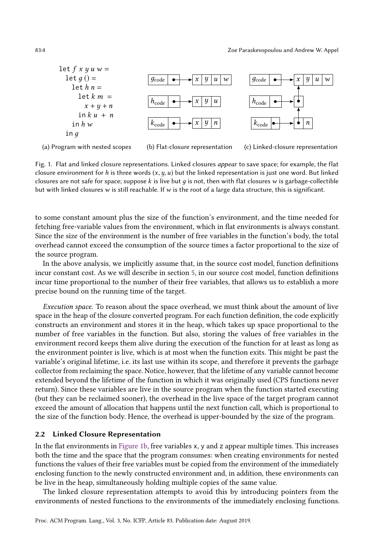<span id="page-3-0"></span>

(a) Program with nested scopes

(b) Flat-closure representation

(c) Linked-closure representation

Fig. 1. Flat and linked closure representations. Linked closures appear to save space; for example, the flat closure environment for h is three words  $(x, y, u)$  but the linked representation is just one word. But linked closures are not safe for space; suppose k is live but  $q$  is not, then with flat closures w is garbage-collectible but with linked closures w is still reachable. If w is the root of a large data structure, this is significant.

to some constant amount plus the size of the function's environment, and the time needed for fetching free-variable values from the environment, which in flat environments is always constant. Since the size of the environment is the number of free variables in the function's body, the total overhead cannot exceed the consumption of the source times a factor proportional to the size of the source program.

In the above analysis, we implicitly assume that, in the source cost model, function definitions incur constant cost. As we will describe in section [5,](#page-9-0) in our source cost model, function definitions incur time proportional to the number of their free variables, that allows us to establish a more precise bound on the running time of the target.

Execution space. To reason about the space overhead, we must think about the amount of live space in the heap of the closure converted program. For each function definition, the code explicitly constructs an environment and stores it in the heap, which takes up space proportional to the number of free variables in the function. But also, storing the values of free variables in the environment record keeps them alive during the execution of the function for at least as long as the environment pointer is live, which is at most when the function exits. This might be past the variable's original lifetime, i.e. its last use within its scope, and therefore it prevents the garbage collector from reclaiming the space. Notice, however, that the lifetime of any variable cannot become extended beyond the lifetime of the function in which it was originally used (CPS functions never return). Since these variables are live in the source program when the function started executing (but they can be reclaimed sooner), the overhead in the live space of the target program cannot exceed the amount of allocation that happens until the next function call, which is proportional to the size of the function body. Hence, the overhead is upper-bounded by the size of the program.

## 2.2 Linked Closure Representation

In the flat environments in [Figure 1b,](#page-3-0) free variables x, y and z appear multiple times. This increases both the time and the space that the program consumes: when creating environments for nested functions the values of their free variables must be copied from the environment of the immediately enclosing function to the newly constructed environment and, in addition, these environments can be live in the heap, simultaneously holding multiple copies of the same value.

The linked closure representation attempts to avoid this by introducing pointers from the environments of nested functions to the environments of the immediately enclosing functions.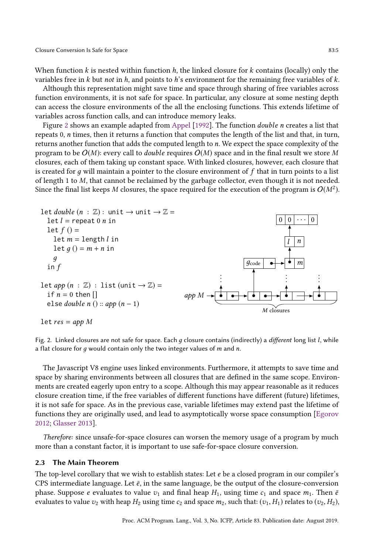When function  $k$  is nested within function  $h$ , the linked closure for  $k$  contains (locally) only the variables free in  $k$  but not in  $h$ , and points to  $h$ 's environment for the remaining free variables of  $k$ .

Although this representation might save time and space through sharing of free variables across function environments, it is not safe for space. In particular, any closure at some nesting depth can access the closure environments of the all the enclosing functions. This extends lifetime of variables across function calls, and can introduce memory leaks.

Figure [2](#page-4-0) shows an example adapted from [Appel](#page-27-4) [\[1992\]](#page-27-4). The function double n creates a list that repeats 0, n times, then it returns a function that computes the length of the list and that, in turn, returns another function that adds the computed length to n. We expect the space complexity of the program to be  $O(M)$ : every call to *double* requires  $O(M)$  space and in the final result we store M closures, each of them taking up constant space. With linked closures, however, each closure that is created for  $q$  will maintain a pointer to the closure environment of  $f$  that in turn points to a list of length 1 to M, that cannot be reclaimed by the garbage collector, even though it is not needed. Since the final list keeps M closures, the space required for the execution of the program is  $O(M^2)$ .

<span id="page-4-0"></span>

Fig. 2. Linked closures are not safe for space. Each  $g$  closure contains (indirectly) a different long list  $l$ , while a flat closure for  $g$  would contain only the two integer values of  $m$  and  $n$ .

The Javascript V8 engine uses linked environments. Furthermore, it attempts to save time and space by sharing environments between all closures that are defined in the same scope. Environments are created eagerly upon entry to a scope. Although this may appear reasonable as it reduces closure creation time, if the free variables of different functions have different (future) lifetimes, it is not safe for space. As in the previous case, variable lifetimes may extend past the lifetime of functions they are originally used, and lead to asymptotically worse space consumption [\[Egorov](#page-27-5) [2012;](#page-27-5) [Glasser 2013\]](#page-27-8).

Therefore: since unsafe-for-space closures can worsen the memory usage of a program by much more than a constant factor, it is important to use safe-for-space closure conversion.

## 2.3 The Main Theorem

The top-level corollary that we wish to establish states: Let  $e$  be a closed program in our compiler's CPS intermediate language. Let  $\bar{e}$ , in the same language, be the output of the closure-conversion phase. Suppose e evaluates to value  $v_1$  and final heap  $H_1$ , using time  $c_1$  and space  $m_1$ . Then  $\bar{e}$ evaluates to value  $v_2$  with heap  $H_2$  using time  $c_2$  and space  $m_2$ , such that:  $(v_1, H_1)$  relates to  $(v_2, H_2)$ ,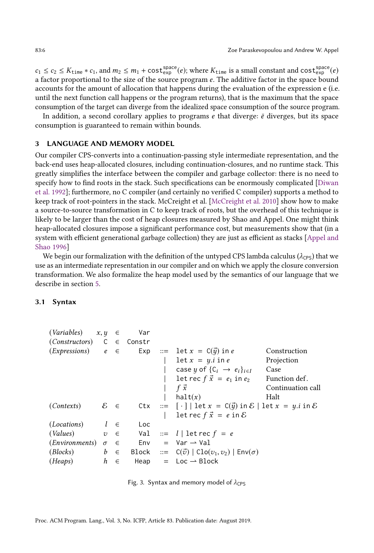$c_1 \leq c_2 \leq K_{\text{time}} * c_1$ , and  $m_2 \leq m_1 + \text{cost}_{\text{exp}}^{\text{space}}(e)$ ; where  $K_{\text{time}}$  is a small constant and  $\text{cost}_{\text{exp}}^{\text{space}}(e)$ a factor proportional to the size of the source program e. The additive factor in the space bound accounts for the amount of allocation that happens during the evaluation of the expression e (i.e. until the next function call happens or the program returns), that is the maximum that the space consumption of the target can diverge from the idealized space consumption of the source program.

In addition, a second corollary applies to programs  $e$  that diverge:  $\bar{e}$  diverges, but its space consumption is guaranteed to remain within bounds.

## 3 LANGUAGE AND MEMORY MODEL

Our compiler CPS-converts into a continuation-passing style intermediate representation, and the back-end uses heap-allocated closures, including continuation-closures, and no runtime stack. This greatly simplifies the interface between the compiler and garbage collector: there is no need to specify how to find roots in the stack. Such specifications can be enormously complicated [\[Diwan](#page-27-9) [et al.](#page-27-9) [1992\]](#page-27-9); furthermore, no C compiler (and certainly no verified C compiler) supports a method to keep track of root-pointers in the stack. McCreight et al. [\[McCreight et al.](#page-28-11) [2010\]](#page-28-11) show how to make a source-to-source transformation in C to keep track of roots, but the overhead of this technique is likely to be larger than the cost of heap closures measured by Shao and Appel. One might think heap-allocated closures impose a significant performance cost, but measurements show that (in a system with efficient generational garbage collection) they are just as efficient as stacks [\[Appel and](#page-27-10) [Shao 1996\]](#page-27-10)

We begin our formalization with the definition of the untyped CPS lambda calculus ( $\lambda_{\text{CPS}}$ ) that we use as an intermediate representation in our compiler and on which we apply the closure conversion transformation. We also formalize the heap model used by the semantics of our language that we describe in section [5.](#page-9-0)

## 3.1 Syntax

<span id="page-5-0"></span>

| $(Variables)$ $x, y \in$                                                                                 |         | Var |                                                                                              |                   |
|----------------------------------------------------------------------------------------------------------|---------|-----|----------------------------------------------------------------------------------------------|-------------------|
| $(Constraints)$ C $\in$ Constructors) C $\in$ Constr                                                     |         |     |                                                                                              |                   |
|                                                                                                          |         |     | $(EXpressions)$ $e \in$ Exp ::= let $x = C(\vec{y})$ in e                                    | Construction      |
|                                                                                                          |         |     | $\det x = y.i \text{ in } e$                                                                 | Projection        |
|                                                                                                          |         |     | case y of $\{C_i \rightarrow e_i\}_{i \in I}$                                                | Case              |
|                                                                                                          |         |     | let rec $f \vec{x} = e_1$ in $e_2$ Function def.                                             |                   |
|                                                                                                          |         |     | f $\vec{x}$                                                                                  | Continuation call |
|                                                                                                          |         |     | halt(x)                                                                                      | Halt              |
| $(Contexts)$ $\&\in$                                                                                     |         |     | Ctx ::= $[\cdot]$   let $x = C(\vec{y})$ in $\mathcal{E}$   let $x = y$ , i in $\mathcal{E}$ |                   |
|                                                                                                          |         |     | let rec $f\vec{x} = e$ in $\mathcal{E}$                                                      |                   |
| $(Locations)$ $l \in$                                                                                    |         | Loc |                                                                                              |                   |
|                                                                                                          |         |     | (Values) $v \in$ Val ::= l let rec $f = e$                                                   |                   |
| $(Environments) \quad \sigma \quad \in \quad \quad \text{Env} \quad = \text{Var} \rightarrow \text{Val}$ |         |     |                                                                                              |                   |
| ( <i>Blocks</i> )                                                                                        |         |     | $b \in$ Block ::= $C(\vec{v})   Clo(v_1, v_2)   Env(\sigma)$                                 |                   |
| (Heaps)                                                                                                  | $h \in$ |     | Heap $=$ Loc $\rightarrow$ Block                                                             |                   |

Fig. 3. Syntax and memory model of  $\lambda_{\text{CPS}}$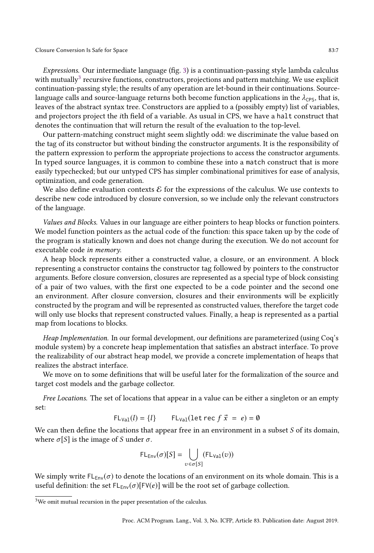#### Closure Conversion Is Safe for Space 83:7

Expressions. Our intermediate language (fig. [3\)](#page-5-0) is a continuation-passing style lambda calculus with mutually<sup>[3](#page-6-0)</sup> recursive functions, constructors, projections and pattern matching. We use explicit continuation-passing style; the results of any operation are let-bound in their continuations. Sourcelanguage calls and source-language returns both become function applications in the  $\lambda_{\text{CPS}}$ , that is, leaves of the abstract syntax tree. Constructors are applied to a (possibly empty) list of variables, and projectors project the ith field of a variable. As usual in CPS, we have a halt construct that denotes the continuation that will return the result of the evaluation to the top-level.

Our pattern-matching construct might seem slightly odd: we discriminate the value based on the tag of its constructor but without binding the constructor arguments. It is the responsibility of the pattern expression to perform the appropriate projections to access the constructor arguments. In typed source languages, it is common to combine these into a match construct that is more easily typechecked; but our untyped CPS has simpler combinational primitives for ease of analysis, optimization, and code generation.

We also define evaluation contexts  $\mathcal E$  for the expressions of the calculus. We use contexts to describe new code introduced by closure conversion, so we include only the relevant constructors of the language.

Values and Blocks. Values in our language are either pointers to heap blocks or function pointers. We model function pointers as the actual code of the function: this space taken up by the code of the program is statically known and does not change during the execution. We do not account for executable code in memory.

A heap block represents either a constructed value, a closure, or an environment. A block representing a constructor contains the constructor tag followed by pointers to the constructor arguments. Before closure conversion, closures are represented as a special type of block consisting of a pair of two values, with the first one expected to be a code pointer and the second one an environment. After closure conversion, closures and their environments will be explicitly constructed by the program and will be represented as constructed values, therefore the target code will only use blocks that represent constructed values. Finally, a heap is represented as a partial map from locations to blocks.

Heap Implementation. In our formal development, our definitions are parameterized (using Coq's module system) by a concrete heap implementation that satisfies an abstract interface. To prove the realizability of our abstract heap model, we provide a concrete implementation of heaps that realizes the abstract interface.

We move on to some definitions that will be useful later for the formalization of the source and target cost models and the garbage collector.

Free Locations. The set of locations that appear in a value can be either a singleton or an empty set:

$$
FL_{\text{Val}}(l) = \{l\} \qquad FL_{\text{Val}}(\text{let rec } f \ \vec{x} = e) = \emptyset
$$

We can then define the locations that appear free in an environment in a subset  $S$  of its domain, where  $\sigma[S]$  is the image of S under  $\sigma$ .

$$
\mathsf{FL}_{\mathsf{Env}}(\sigma)[S] = \bigcup_{v \in \sigma[S]} (\mathsf{FL}_{\mathsf{Val}}(v))
$$

We simply write  $FL_{Env}(\sigma)$  to denote the locations of an environment on its whole domain. This is a useful definition: the set  $FL_{Env}(\sigma)[FV(e)]$  will be the root set of garbage collection.

<span id="page-6-0"></span> ${}^{3}{\rm We}$  omit mutual recursion in the paper presentation of the calculus.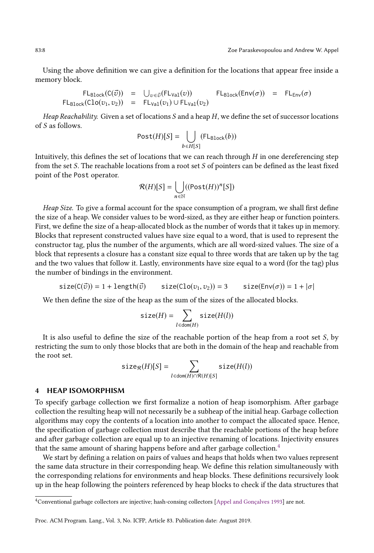Using the above definition we can give a definition for the locations that appear free inside a memory block.

$$
\begin{array}{ccccccccc}\n\mathsf{FL}_{\text{Block}}(\mathsf{C}(\vec{v})) & = & \bigcup_{v \in \vec{v}}(\mathsf{FL}_{\text{Val}}(v)) & \mathsf{FL}_{\text{Block}}(\mathsf{Env}(\sigma)) & = & \mathsf{FL}_{\text{Env}}(\sigma) \\
\mathsf{FL}_{\text{Block}}(\mathsf{Clo}(v_1, v_2)) & = & \mathsf{FL}_{\text{Val}}(v_1) \cup \mathsf{FL}_{\text{Val}}(v_2)\n\end{array}
$$

Heap Reachability. Given a set of locations S and a heap  $H$ , we define the set of successor locations of S as follows.

$$
Post(H)[S] = \bigcup_{b \in H[S]} (FL_{Block}(b))
$$

Intuitively, this defines the set of locations that we can reach through  $H$  in one dereferencing step from the set S. The reachable locations from a root set S of pointers can be defined as the least fixed point of the Post operator.

$$
\mathcal{R}(H)[S] = \bigcup_{n \in \mathbb{N}} ((\mathsf{Post}(H))^n[S])
$$

Heap Size. To give a formal account for the space consumption of a program, we shall first define the size of a heap. We consider values to be word-sized, as they are either heap or function pointers. First, we define the size of a heap-allocated block as the number of words that it takes up in memory. Blocks that represent constructed values have size equal to a word, that is used to represent the constructor tag, plus the number of the arguments, which are all word-sized values. The size of a block that represents a closure has a constant size equal to three words that are taken up by the tag and the two values that follow it. Lastly, environments have size equal to a word (for the tag) plus the number of bindings in the environment.

$$
\texttt{size}(C(\vec{v})) = 1 + \texttt{length}(\vec{v}) \qquad \texttt{size}(Clo(v_1, v_2)) = 3 \qquad \texttt{size}(\texttt{Env}(\sigma)) = 1 + |\sigma|
$$

We then define the size of the heap as the sum of the sizes of the allocated blocks.

$$
\texttt{size}(H) = \sum_{l \in \text{dom}(H)} \texttt{size}(H(l))
$$

It is also useful to define the size of the reachable portion of the heap from a root set S, by restricting the sum to only those blocks that are both in the domain of the heap and reachable from the root set.

$$
\texttt{size}_{\mathcal{R}}(H)[S] = \sum_{l \in \texttt{dom}(H) \cap \mathcal{R}(H)[S]} \texttt{size}(H(l))
$$

## HEAP ISOMORPHISM

To specify garbage collection we first formalize a notion of heap isomorphism. After garbage collection the resulting heap will not necessarily be a subheap of the initial heap. Garbage collection algorithms may copy the contents of a location into another to compact the allocated space. Hence, the specification of garbage collection must describe that the reachable portions of the heap before and after garbage collection are equal up to an injective renaming of locations. Injectivity ensures that the same amount of sharing happens before and after garbage collection.<sup>[4](#page-7-0)</sup>

We start by defining a relation on pairs of values and heaps that holds when two values represent the same data structure in their corresponding heap. We define this relation simultaneously with the corresponding relations for environments and heap blocks. These definitions recursively look up in the heap following the pointers referenced by heap blocks to check if the data structures that

<span id="page-7-0"></span><sup>4</sup>Conventional garbage collectors are injective; hash-consing collectors [\[Appel and Gonçalves 1993\]](#page-27-11) are not.

Proc. ACM Program. Lang., Vol. 3, No. ICFP, Article 83. Publication date: August 2019.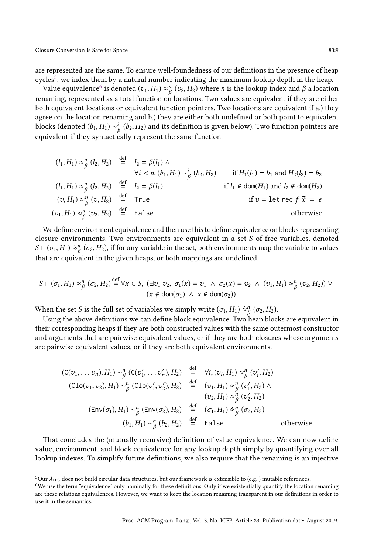are represented are the same. To ensure well-foundedness of our definitions in the presence of heap cycles<sup>[5](#page-8-0)</sup>, we index them by a natural number indicating the maximum lookup depth in the heap.

Value equivalence $^6$  $^6$  is denoted  $(v_1,H_1)\approx^n_{\beta}(v_2,H_2)$  where  $n$  is the lookup index and  $\beta$  a location renaming, represented as a total function on locations. Two values are equivalent if they are either both equivalent locations or equivalent function pointers. Two locations are equivalent if a.) they agree on the location renaming and b.) they are either both undefined or both point to equivalent blocks (denoted  $(b_1,H_1)\sim^i_{\beta}(b_2,H_2)$  and its definition is given below). Two function pointers are equivalent if they syntactically represent the same function.

$$
(l_1, H_1) \approx_{\beta}^{n} (l_2, H_2) \stackrel{\text{def}}{=} l_2 = \beta(l_1) \land
$$
  
\n
$$
\forall i < n, (b_1, H_1) \sim_{\beta}^{i} (b_2, H_2) \quad \text{if } H_1(l_1) = b_1 \text{ and } H_2(l_2) = b_2
$$
  
\n
$$
(l_1, H_1) \approx_{\beta}^{n} (l_2, H_2) \stackrel{\text{def}}{=} l_2 = \beta(l_1) \quad \text{if } l_1 \notin \text{dom}(H_1) \text{ and } l_2 \notin \text{dom}(H_2)
$$
  
\n
$$
(v, H_1) \approx_{\beta}^{n} (v_2, H_2) \stackrel{\text{def}}{=} \text{True} \quad \text{if } v = \text{let } \text{rec } f \vec{x} = e
$$
  
\n
$$
(v_1, H_1) \approx_{\beta}^{n} (v_2, H_2) \stackrel{\text{def}}{=} \text{False} \quad \text{otherwise}
$$

We define environment equivalence and then use this to define equivalence on blocks representing closure environments. Two environments are equivalent in a set  $S$  of free variables, denoted  $S \vdash (\sigma_1, H_1) \approx_{\beta}^n (\sigma_2, H_2)$ , if for any variable in the set, both environments map the variable to values that are equivalent in the given heaps, or both mappings are undefined.

$$
S \vdash (\sigma_1, H_1) \approx_{\beta}^n (\sigma_2, H_2) \stackrel{\text{def}}{=} \forall x \in S, \ (\exists v_1 \ v_2, \ \sigma_1(x) = v_1 \ \land \ \sigma_2(x) = v_2 \ \land \ (v_1, H_1) \approx_{\beta}^n (v_2, H_2)) \ \lor \ (x \notin \text{dom}(\sigma_1) \ \land \ x \notin \text{dom}(\sigma_2))
$$

When the set S is the full set of variables we simply write  $(\sigma_1, H_1) \approx^n_\beta (\sigma_2, H_2)$ .

def

Using the above definitions we can define block equivalence. Two heap blocks are equivalent in their corresponding heaps if they are both constructed values with the same outermost constructor and arguments that are pairwise equivalent values, or if they are both closures whose arguments are pairwise equivalent values, or if they are both equivalent environments.

$$
(C(v_1, \ldots v_n), H_1) \sim_{\beta}^n (C(v'_1, \ldots v'_n), H_2) \stackrel{\text{def}}{=} \forall i, (v_i, H_1) \approx_{\beta}^n (v'_i, H_2)
$$
  

$$
(Clo(v_1, v_2), H_1) \sim_{\beta}^n (Clo(v'_1, v'_2), H_2) \stackrel{\text{def}}{=} (v_1, H_1) \approx_{\beta}^n (v'_1, H_2) \land
$$
  

$$
(v_2, H_1) \approx_{\beta}^n (v'_2, H_2)
$$
  

$$
(Env(\sigma_1), H_1) \sim_{\beta}^n (Env(\sigma_2), H_2) \stackrel{\text{def}}{=} (\sigma_1, H_1) \approx_{\beta}^n (\sigma_2, H_2)
$$
  

$$
(b_1, H_1) \sim_{\beta}^n (b_2, H_2) \stackrel{\text{def}}{=} False
$$
 otherwise

That concludes the (mutually recursive) definition of value equivalence. We can now define value, environment, and block equivalence for any lookup depth simply by quantifying over all lookup indexes. To simplify future definitions, we also require that the renaming is an injective

<span id="page-8-0"></span> $5$ Our  $\lambda$ <sub>CPS</sub> does not build circular data structures, but our framework is extensible to (e.g.,) mutable references.

<span id="page-8-1"></span> $6$ We use the term "equivalence" only nominally for these definitions. Only if we existentially quantify the location renaming are these relations equivalences. However, we want to keep the location renaming transparent in our definitions in order to use it in the semantics.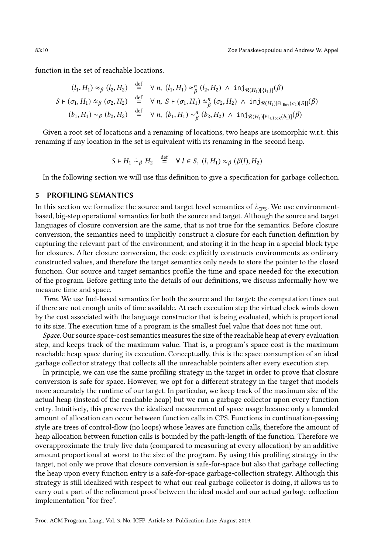function in the set of reachable locations.

$$
(l_1, H_1) \approx_{\beta} (l_2, H_2) \stackrel{\text{def}}{=} \forall n, (l_1, H_1) \approx_{\beta}^n (l_2, H_2) \land \text{inj}_{\mathcal{R}(H_1)[\{l_1\}]}(\beta)
$$
  

$$
S \vdash (\sigma_1, H_1) \approx_{\beta} (\sigma_2, H_2) \stackrel{\text{def}}{=} \forall n, S \vdash (\sigma_1, H_1) \approx_{\beta}^n (\sigma_2, H_2) \land \text{inj}_{\mathcal{R}(H_1)[\mathsf{FL}_{\text{Env}}(\sigma_1)[S]]}(\beta)
$$
  

$$
(b_1, H_1) \sim_{\beta} (b_2, H_2) \stackrel{\text{def}}{=} \forall n, (b_1, H_1) \sim_{\beta}^n (b_2, H_2) \land \text{inj}_{\mathcal{R}(H_1)[\mathsf{FL}_{\text{Block}}(b_1)]}(\beta)
$$

Given a root set of locations and a renaming of locations, two heaps are isomorphic w.r.t. this renaming if any location in the set is equivalent with its renaming in the second heap.

$$
S \vdash H_1 \stackrel{\cdot}{\sim} _{\beta} H_2 \stackrel{\text{def}}{=} \forall l \in S, (l, H_1) \approx_{\beta} (\beta(l), H_2)
$$

In the following section we will use this definition to give a specification for garbage collection.

## <span id="page-9-0"></span>5 PROFILING SEMANTICS

In this section we formalize the source and target level semantics of  $\lambda_{\text{CPS}}$ . We use environmentbased, big-step operational semantics for both the source and target. Although the source and target languages of closure conversion are the same, that is not true for the semantics. Before closure conversion, the semantics need to implicitly construct a closure for each function definition by capturing the relevant part of the environment, and storing it in the heap in a special block type for closures. After closure conversion, the code explicitly constructs environments as ordinary constructed values, and therefore the target semantics only needs to store the pointer to the closed function. Our source and target semantics profile the time and space needed for the execution of the program. Before getting into the details of our definitions, we discuss informally how we measure time and space.

Time. We use fuel-based semantics for both the source and the target: the computation times out if there are not enough units of time available. At each execution step the virtual clock winds down by the cost associated with the language constructor that is being evaluated, which is proportional to its size. The execution time of a program is the smallest fuel value that does not time out.

Space. Our source space-cost semantics measures the size of the reachable heap at every evaluation step, and keeps track of the maximum value. That is, a program's space cost is the maximum reachable heap space during its execution. Conceptually, this is the space consumption of an ideal garbage collector strategy that collects all the unreachable pointers after every execution step.

In principle, we can use the same profiling strategy in the target in order to prove that closure conversion is safe for space. However, we opt for a different strategy in the target that models more accurately the runtime of our target. In particular, we keep track of the maximum size of the actual heap (instead of the reachable heap) but we run a garbage collector upon every function entry. Intuitively, this preserves the idealized measurement of space usage because only a bounded amount of allocation can occur between function calls in CPS. Functions in continuation-passing style are trees of control-flow (no loops) whose leaves are function calls, therefore the amount of heap allocation between function calls is bounded by the path-length of the function. Therefore we overapproximate the truly live data (compared to measuring at every allocation) by an additive amount proportional at worst to the size of the program. By using this profiling strategy in the target, not only we prove that closure conversion is safe-for-space but also that garbage collecting the heap upon every function entry is a safe-for-space garbage-collection strategy. Although this strategy is still idealized with respect to what our real garbage collector is doing, it allows us to carry out a part of the refinement proof between the ideal model and our actual garbage collection implementation "for free".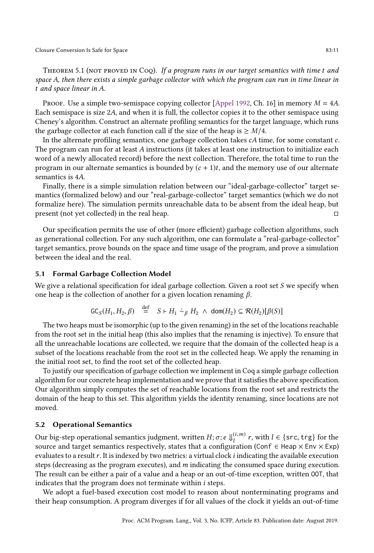THEOREM 5.1 (NOT PROVED IN COQ). If a program runs in our target semantics with time  $t$  and space A, then there exists a simple garbage collector with which the program can run in time linear in t and space linear in A.

Proof. Use a simple two-semispace copying collector [\[Appel 1992,](#page-27-4) Ch. 16] in memory  $M = 4A$ . Each semispace is size 2A, and when it is full, the collector copies it to the other semispace using Cheney's algorithm. Construct an alternate profiling semantics for the target language, which runs the garbage collector at each function call if the size of the heap is  $\geq M/4$ .

In the alternate profiling semantics, one garbage collection takes  $cA$  time, for some constant  $c$ . The program can run for at least A instructions (it takes at least one instruction to initialize each word of a newly allocated record) before the next collection. Therefore, the total time to run the program in our alternate semantics is bounded by  $(c + 1)t$ , and the memory use of our alternate semantics is 4A.

Finally, there is a simple simulation relation between our "ideal-garbage-collector" target semantics (formalized below) and our "real-garbage-collector" target semantics (which we do not formalize here). The simulation permits unreachable data to be absent from the ideal heap, but present (not yet collected) in the real heap.

Our specification permits the use of other (more efficient) garbage collection algorithms, such as generational collection. For any such algorithm, one can formulate a "real-garbage-collector" target semantics, prove bounds on the space and time usage of the program, and prove a simulation between the ideal and the real.

## 5.1 Formal Garbage Collection Model

We give a relational specification for ideal garbage collection. Given a root set  $S$  we specify when one heap is the collection of another for a given location renaming  $\beta$ .

$$
\mathsf{GC}_S(H_1, H_2, \beta) \stackrel{\text{def}}{=} S \vdash H_1 \stackrel{\sim}{\sim} \beta H_2 \land \mathsf{dom}(H_2) \subseteq \mathcal{R}(H_2)[\beta(S)]
$$

 $\overline{\phantom{a}}$ 

The two heaps must be isomorphic (up to the given renaming) in the set of the locations reachable from the root set in the initial heap (this also implies that the renaming is injective). To ensure that all the unreachable locations are collected, we require that the domain of the collected heap is a subset of the locations reachable from the root set in the collected heap. We apply the renaming in the initial root set, to find the root set of the collected heap.

To justify our specification of garbage collection we implement in Coq a simple garbage collection algorithm for our concrete heap implementation and we prove that it satisfies the above specification. Our algorithm simply computes the set of reachable locations from the root set and restricts the domain of the heap to this set. This algorithm yields the identity renaming, since locations are not moved.

#### 5.2 Operational Semantics

Our big-step operational semantics judgment, written  $H; \sigma; e \Downarrow_l^{(i,m)} r$ , with  $l \in \{\textsf{src}, \textsf{trg}\}$  for the source and target semantics respectively, states that a configuration (Conf  $\in$  Heap  $\times$  Env  $\times$  Exp) evaluates to a result  $r$ . It is indexed by two metrics: a virtual clock  $i$  indicating the available execution steps (decreasing as the program executes), and  $m$  indicating the consumed space during execution. The result can be either a pair of a value and a heap or an out-of-time exception, written OOT, that indicates that the program does not terminate within i steps.

We adopt a fuel-based execution cost model to reason about nonterminating programs and their heap consumption. A program diverges if for all values of the clock it yields an out-of-time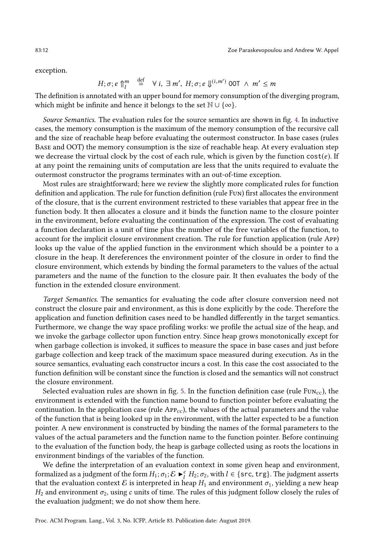exception.

$$
H; \sigma; e \uparrow_l^m \stackrel{\text{def}}{=} \forall i, \exists m', H; \sigma; e \Downarrow^{(i,m')} \text{OOT} \land m' \leq m
$$

The definition is annotated with an upper bound for memory consumption of the diverging program, which might be infinite and hence it belongs to the set  $\mathbb{N} \cup \{\infty\}$ .

Source Semantics. The evaluation rules for the source semantics are shown in fig. [4.](#page-12-1) In inductive cases, the memory consumption is the maximum of the memory consumption of the recursive call and the size of reachable heap before evaluating the outermost constructor. In base cases (rules Base and OOT) the memory consumption is the size of reachable heap. At every evaluation step we decrease the virtual clock by the cost of each rule, which is given by the function  $cost(e)$ . If at any point the remaining units of computation are less that the units required to evaluate the outermost constructor the programs terminates with an out-of-time exception.

Most rules are straightforward; here we review the slightly more complicated rules for function definition and application. The rule for function definition (rule Fun) first allocates the environment of the closure, that is the current environment restricted to these variables that appear free in the function body. It then allocates a closure and it binds the function name to the closure pointer in the environment, before evaluating the continuation of the expression. The cost of evaluating a function declaration is a unit of time plus the number of the free variables of the function, to account for the implicit closure environment creation. The rule for function application (rule App) looks up the value of the applied function in the environment which should be a pointer to a closure in the heap. It dereferences the environment pointer of the closure in order to find the closure environment, which extends by binding the formal parameters to the values of the actual parameters and the name of the function to the closure pair. It then evaluates the body of the function in the extended closure environment.

Target Semantics. The semantics for evaluating the code after closure conversion need not construct the closure pair and environment, as this is done explicitly by the code. Therefore the application and function definition cases need to be handled differently in the target semantics. Furthermore, we change the way space profiling works: we profile the actual size of the heap, and we invoke the garbage collector upon function entry. Since heap grows monotonically except for when garbage collection is invoked, it suffices to measure the space in base cases and just before garbage collection and keep track of the maximum space measured during execution. As in the source semantics, evaluating each constructor incurs a cost. In this case the cost associated to the function definition will be constant since the function is closed and the semantics will not construct the closure environment.

Selected evaluation rules are shown in fig. [5.](#page-13-0) In the function definition case (rule  $FUN_{\text{CC}}$ ), the environment is extended with the function name bound to function pointer before evaluating the continuation. In the application case (rule  $APP_{cc}$ ), the values of the actual parameters and the value of the function that is being looked up in the environment, with the latter expected to be a function pointer. A new environment is constructed by binding the names of the formal parameters to the values of the actual parameters and the function name to the function pointer. Before continuing to the evaluation of the function body, the heap is garbage collected using as roots the locations in environment bindings of the variables of the function.

We define the interpretation of an evaluation context in some given heap and environment, formalized as a judgment of the form  $H_1$ ;  $\sigma_1$ ;  $\mathcal{E} \blacktriangleright_l^c H_2$ ;  $\sigma_2$ , with  $l \in \{src, trg\}$ . The judgment asserts that the evaluation context E is interpreted in heap  $H_1$  and environment  $\sigma_1$ , yielding a new heap  $H_2$  and environment  $\sigma_2$ , using c units of time. The rules of this judgment follow closely the rules of the evaluation judgment; we do not show them here.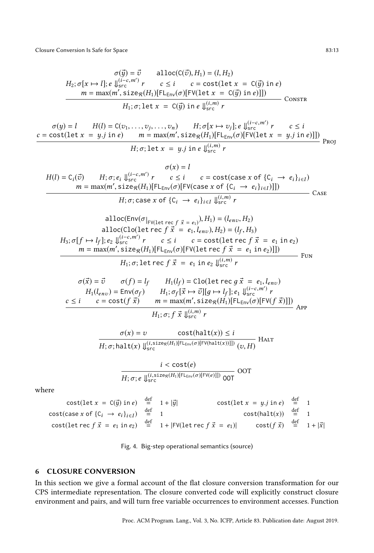<span id="page-12-1"></span>Closure Conversion Is Safe for Space 83:13

$$
\sigma(\vec{y}) = \vec{v} \quad \text{alloc}(C(\vec{v}), H_1) = (l, H_2)
$$
\n
$$
H_2; \sigma[x \mapsto l]; e \Downarrow_{src}^{(i-c, m')} r \quad c \le i \quad c = \text{cost}(\text{let } x = C(\vec{y}) \text{ in } e)
$$
\n
$$
m = \max(m', \text{size}_{\mathcal{R}}(H_1)[FL_{env}(\sigma)[FV(\text{let } x = C(\vec{y}) \text{ in } e)]])
$$
\n
$$
H_1; \sigma; \text{let } x = C(\vec{y}) \text{ in } e \Downarrow_{src}^{(i, m)} r \quad \text{Constr}
$$

 $\sigma(y) = l$   $H(l) = C(v_1, \ldots, v_j, \ldots, v_n)$   $H; \sigma[x \mapsto v_j]; e \Downarrow_{\text{src}}^{(i-c, m')} r$   $c \leq i$  $c = \text{cost}(\text{let } x = y.j \text{ in } e)$   $m = \max(m', \text{size}_{\mathcal{R}}(H_1)[\text{FL}_{\text{Env}}(\sigma)[\text{FV}(\text{let } x = y.j \text{ in } e)]])$  $H; \sigma; \texttt{let}~x = y.j~\texttt{in}~e \Downarrow^{(i,m)}_{\texttt{src}} r$ Proj

$$
\sigma(x) = l
$$
  
\n
$$
H(l) = C_i(\vec{v})
$$
  
\n
$$
H; \sigma; e_i \Downarrow_{src}^{(i-c,m')} r
$$
  
\n
$$
c \le i
$$
  
\n
$$
c = \text{cost}(\text{case } x \text{ of } \{C_i \rightarrow e_i\}_{i \in I})
$$
  
\n
$$
m = \max(m', \text{size}_{\mathcal{R}}(H_1)[F\mathsf{L}_{\text{Env}}(\sigma)[F\mathsf{V}(\text{case } x \text{ of } \{C_i \rightarrow e_i\}_{i \in I})]])
$$
  
\n
$$
H; \sigma; \text{case } x \text{ of } \{C_i \rightarrow e_i\}_{i \in I} \Downarrow_{src}^{(i,m)} r
$$
  
\n
$$
\text{Case } x \text{ of } \{C_i \rightarrow e_i\}_{i \in I} \Downarrow_{src}^{(i,m)} r
$$

$$
\text{alloc(Env}(\sigma_{|FV(\text{let rec } f \vec{x} = e_1)}, H_1) = (l_{env}, H_2)
$$
\n
$$
\text{alloc(Clo(let rec } f \vec{x} = e_1, l_{env}), H_2) = (l_f, H_3)
$$
\n
$$
H_3; \sigma[f \mapsto l_f]; e_2 \downarrow_{s = c, m'}^{(i = c, m')} r \quad c \le i \quad c = \text{cost(let rec } f \vec{x} = e_1 \text{ in } e_2)
$$
\n
$$
m = \max(m', \text{size}_{R}(H_1)[FL_{Env}(\sigma)[FV(\text{let rec } f \vec{x} = e_1 \text{ in } e_2)]]]
$$
\n
$$
H_1; \sigma; \text{let rec } f \vec{x} = e_1 \text{ in } e_2 \downarrow_{s = c}^{(i, m)} r
$$
\n
$$
\sigma(\vec{x}) = \vec{v} \quad \sigma(f) = l_f \quad H_1(l_f) = \text{Clo(let rec } g \vec{x} = e_1, l_{env})
$$
\n
$$
H_1(l_{env}) = \text{Env}(\sigma_f) \quad H_1; \sigma_f[\vec{x} \mapsto \vec{v}][g \mapsto l_f]; e_1 \downarrow_{s = c}^{(i = c, m')} r
$$
\n
$$
c \le i \quad c = \text{cost}(f \vec{x}) \quad m = \max(m', \text{size}_{R}(H_1)[FL_{Env}(\sigma)[FV(f \vec{x})]])
$$
\n
$$
H_1; \sigma; f \vec{x} \downarrow_{s = c}^{(i, m)} r
$$

$$
\frac{\sigma(x) = v \quad \text{cost}(\text{halt}(x)) \le i}{H; \sigma; \text{halt}(x) \Downarrow^{(i, \text{size}_{\mathcal{R}}(H_1)[\text{FL}_{\text{Env}}(\sigma)[\text{FV}(\text{halt}(x))]])} (v, H)}
$$

$$
\frac{i < \text{cost}(e)}{H; \sigma; e \Downarrow_{\text{src}}^{(i, \text{size}_{\mathcal{R}}(H_1)[\text{FL}_{\text{Env}}(\sigma)[\text{FV}(e)]])} \text{OOT}}
$$

where

$$
\begin{array}{rcl}\n\text{cost}(\text{let } x = C(\vec{y}) \text{ in } e) & \stackrel{\text{def}}{=} & 1 + |\vec{y}| & \text{cost}(\text{let } x = y \text{ in } e) & \stackrel{\text{def}}{=} & 1 \\
\text{cost}(\text{case } x \text{ of } \{C_i \rightarrow e_i\}_{i \in I}) & \stackrel{\text{def}}{=} & 1 & \text{cost}(\text{halt}(x)) & \stackrel{\text{def}}{=} & 1 \\
\text{cost}(\text{let } \text{rec } f \ \vec{x} = e_1 \text{ in } e_2) & \stackrel{\text{def}}{=} & 1 + |\text{FV}(\text{let } \text{rec } f \ \vec{x} = e_1)| & \text{cost}(f \ \vec{x}) & \stackrel{\text{def}}{=} & 1 + |\vec{x}| \\
\end{array}
$$



## <span id="page-12-0"></span>6 CLOSURE CONVERSION

In this section we give a formal account of the flat closure conversion transformation for our CPS intermediate representation. The closure converted code will explicitly construct closure environment and pairs, and will turn free variable occurrences to environment accesses. Function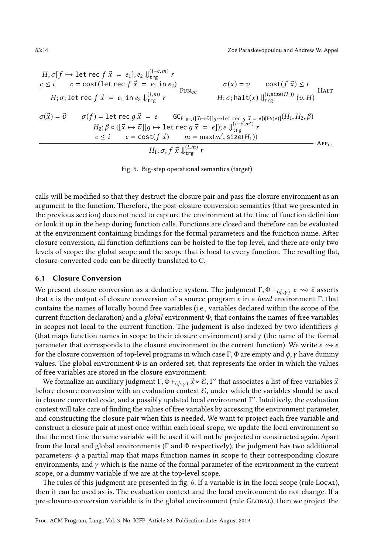<span id="page-13-0"></span>
$$
H; \sigma[f \mapsto \text{let } \text{rec } f \vec{x} = e_1]; e_2 \Downarrow_{\text{trg}}^{(i-c,m)} r
$$
\n
$$
c \leq i \quad c = \text{cost}(\text{let } \text{rec } f \vec{x} = e_1 \text{ in } e_2) \Downarrow_{\text{trg}}^{(i-m)} r
$$
\n
$$
H; \sigma; \text{let } \text{rec } f \vec{x} = e_1 \text{ in } e_2 \Downarrow_{\text{trg}}^{(i,m)} r
$$
\n
$$
\sigma(\vec{x}) = \vec{v} \qquad \sigma(f) = \text{let } \text{rec } g \vec{x} = e \qquad \text{GC}_{\text{FL}_{\text{Env}}([\vec{x} \mapsto \vec{v}][g \mapsto \text{let } \text{rec } g \vec{x} = e])[\text{FV}(e)]}(H_1, H_2, \beta)
$$
\n
$$
H_2; \beta \circ ([\vec{x} \mapsto \vec{v}][g \mapsto \text{let } \text{rec } g \vec{x} = e]); e \Downarrow_{\text{trg}}^{(i-c,m')} r
$$
\n
$$
c \leq i \qquad c = \text{cost}(f \vec{x}) \qquad m = \max(m', \text{size}(H_1))
$$
\n
$$
H_1; \sigma; f \vec{x} \Downarrow_{\text{trg}}^{(i,m)} r
$$
\n
$$
\text{APP}_{\text{CC}}
$$

Fig. 5. Big-step operational semantics (target)

calls will be modified so that they destruct the closure pair and pass the closure environment as an argument to the function. Therefore, the post-closure-conversion semantics (that we presented in the previous section) does not need to capture the environment at the time of function definition or look it up in the heap during function calls. Functions are closed and therefore can be evaluated at the environment containing bindings for the formal parameters and the function name. After closure conversion, all function definitions can be hoisted to the top level, and there are only two levels of scope: the global scope and the scope that is local to every function. The resulting flat, closure-converted code can be directly translated to C.

#### 6.1 Closure Conversion

We present closure conversion as a deductive system. The judgment  $\Gamma, \Phi \vdash_{(\phi, \gamma)} e \leadsto \bar{e}$  asserts that  $\bar{e}$  is the output of closure conversion of a source program e in a local environment Γ, that contains the names of locally bound free variables (i.e., variables declared within the scope of the current function declaration) and a *global* environment  $\Phi$ , that contains the names of free variables in scopes not local to the current function. The judgment is also indexed by two identifiers  $\phi$ (that maps function names in scope to their closure environment) and  $\gamma$  (the name of the formal parameter that corresponds to the closure environment in the current function). We write  $e \rightsquigarrow \bar{e}$ for the closure conversion of top-level programs in which case Γ, Φ are empty and  $\phi$ , γ have dummy values. The global environment  $\Phi$  is an ordered set, that represents the order in which the values of free variables are stored in the closure environment.

We formalize an auxiliary judgment  $\Gamma$ ,  $\Phi \vdash_{(\phi, \gamma)} \vec{x} \triangleright \mathcal{E}$ , Γ' that associates a list of free variables  $\vec{x}$ before closure conversion with an evaluation context  $\mathcal{E}$ , under which the variables should be used in closure converted code, and a possibly updated local environment Γ ′ . Intuitively, the evaluation context will take care of finding the values of free variables by accessing the environment parameter, and constructing the closure pair when this is needed. We want to project each free variable and construct a closure pair at most once within each local scope, we update the local environment so that the next time the same variable will be used it will not be projected or constructed again. Apart from the local and global environments ( $\Gamma$  and  $\Phi$  respectively), the judgment has two additional parameters:  $\phi$  a partial map that maps function names in scope to their corresponding closure environments, and  $\gamma$  which is the name of the formal parameter of the environment in the current scope, or a dummy variable if we are at the top-level scope.

The rules of this judgment are presented in fig. [6.](#page-14-1) If a variable is in the local scope (rule Local), then it can be used as-is. The evaluation context and the local environment do not change. If a pre-closure-conversion variable is in the global environment (rule Global), then we project the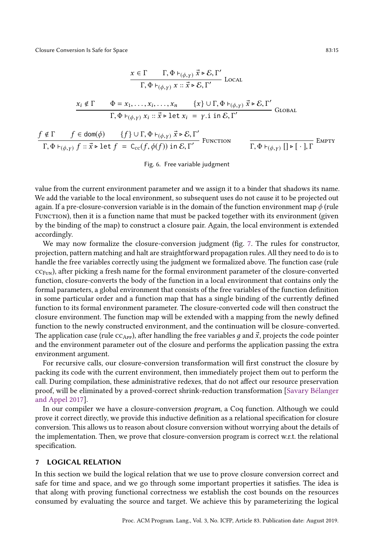Closure Conversion Is Safe for Space 83:15

<span id="page-14-1"></span>
$$
\frac{x \in \Gamma \qquad \Gamma, \Phi \vdash_{(\phi, \gamma)} \vec{x} \triangleright \mathcal{E}, \Gamma'}{\Gamma, \Phi \vdash_{(\phi, \gamma)} x :: \vec{x} \triangleright \mathcal{E}, \Gamma'}
$$
 LocAL  

$$
\frac{x_i \notin \Gamma \qquad \Phi = x_1, \dots, x_i, \dots, x_n \qquad \{x\} \cup \Gamma, \Phi \vdash_{(\phi, \gamma)} \vec{x} \triangleright \mathcal{E}, \Gamma'}{\Gamma, \Phi \vdash_{(\phi, \gamma)} x_i :: \vec{x} \triangleright \text{let } x_i = \gamma. \text{ i in } \mathcal{E}, \Gamma'}
$$
 Global  
 $f \notin \Gamma$   $f \in \text{dom}(\phi)$   $\{f\} \cup \Gamma, \Phi \vdash_{(\phi, \gamma)} \vec{x} \triangleright \mathcal{E}, \Gamma'$ 

$$
\frac{f \notin I}{\Gamma, \Phi \vdash_{(\phi, \gamma)} f :: \vec{x} \triangleright \text{let } f = C_{cc}(f, \phi(f)) \text{ in } \mathcal{E}, \Gamma'} \text{ FUNCTION} \qquad \frac{f \in \text{Cov}(f, \phi(f)) \text{ in } \mathcal{E}, \Gamma'}{\Gamma, \Phi \vdash_{(\phi, \gamma)} [\Gamma \triangleright [\cdot], \Gamma]} \text{EMPTY}
$$

#### Fig. 6. Free variable judgment

value from the current environment parameter and we assign it to a binder that shadows its name. We add the variable to the local environment, so subsequent uses do not cause it to be projected out again. If a pre-closure-conversion variable is in the domain of the function environment map  $\phi$  (rule FUNCTION), then it is a function name that must be packed together with its environment (given by the binding of the map) to construct a closure pair. Again, the local environment is extended accordingly.

We may now formalize the closure-conversion judgment (fig. [7.](#page-15-0) The rules for constructor, projection, pattern matching and halt are straightforward propagation rules. All they need to do is to handle the free variables correctly using the judgment we formalized above. The function case (rule  $CC_{FUN}$ ), after picking a fresh name for the formal environment parameter of the closure-converted function, closure-converts the body of the function in a local environment that contains only the formal parameters, a global environment that consists of the free variables of the function definition in some particular order and a function map that has a single binding of the currently defined function to its formal environment parameter. The closure-converted code will then construct the closure environment. The function map will be extended with a mapping from the newly defined function to the newly constructed environment, and the continuation will be closure-converted. The application case (rule  $cc_{\rm Apr}$ ), after handling the free variables g and  $\vec{x}$ , projects the code pointer and the environment parameter out of the closure and performs the application passing the extra environment argument.

For recursive calls, our closure-conversion transformation will first construct the closure by packing its code with the current environment, then immediately project them out to perform the call. During compilation, these administrative redexes, that do not affect our resource preservation proof, will be eliminated by a proved-correct shrink-reduction transformation [\[Savary Bélanger](#page-28-12) [and Appel 2017\]](#page-28-12).

In our compiler we have a closure-conversion program, a Coq function. Although we could prove it correct directly, we provide this inductive definition as a relational specification for closure conversion. This allows us to reason about closure conversion without worrying about the details of the implementation. Then, we prove that closure-conversion program is correct w.r.t. the relational specification.

# <span id="page-14-0"></span>7 LOGICAL RELATION

In this section we build the logical relation that we use to prove closure conversion correct and safe for time and space, and we go through some important properties it satisfies. The idea is that along with proving functional correctness we establish the cost bounds on the resources consumed by evaluating the source and target. We achieve this by parameterizing the logical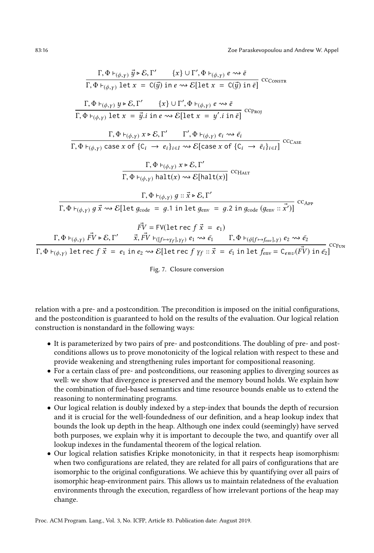<span id="page-15-0"></span><sup>Γ</sup>, <sup>Φ</sup> <sup>⊢</sup>(ϕ,<sup>γ</sup> ) <sup>y</sup>® <sup>▷</sup> <sup>E</sup>, <sup>Γ</sup> ′ {x} ∪ Γ ′ , <sup>Φ</sup> <sup>⊢</sup>(ϕ,<sup>γ</sup> ) <sup>e</sup> ⇝ <sup>e</sup>¯ <sup>Γ</sup>, <sup>Φ</sup> <sup>⊢</sup>(ϕ,<sup>γ</sup> ) let <sup>x</sup> <sup>=</sup> <sup>C</sup>(®y) in <sup>e</sup> ⇝ E[let <sup>x</sup> <sup>=</sup> <sup>C</sup>(®y) in <sup>e</sup>¯] ccConstr <sup>Γ</sup>, <sup>Φ</sup> <sup>⊢</sup>(ϕ,<sup>γ</sup> ) <sup>y</sup> <sup>▷</sup> <sup>E</sup>, <sup>Γ</sup> ′ {x} ∪ Γ ′ , <sup>Φ</sup> <sup>⊢</sup>(ϕ,<sup>γ</sup> ) <sup>e</sup> ⇝ <sup>e</sup>¯ <sup>Γ</sup>, <sup>Φ</sup> <sup>⊢</sup>(ϕ,<sup>γ</sup> ) let <sup>x</sup> <sup>=</sup> <sup>y</sup>®.<sup>i</sup> in <sup>e</sup> ⇝ E[let <sup>x</sup> <sup>=</sup> <sup>y</sup> ′ .i in e¯] ccProj <sup>Γ</sup>, <sup>Φ</sup> <sup>⊢</sup>(ϕ,<sup>γ</sup> ) <sup>x</sup> <sup>▷</sup> <sup>E</sup>, <sup>Γ</sup> ′ Γ ′ , <sup>Φ</sup> <sup>⊢</sup>(ϕ,<sup>γ</sup> ) <sup>e</sup><sup>i</sup> ⇝ <sup>e</sup>¯<sup>i</sup> <sup>Γ</sup>, <sup>Φ</sup> <sup>⊢</sup>(ϕ,<sup>γ</sup> ) case <sup>x</sup> of {C<sup>i</sup> <sup>→</sup> <sup>e</sup><sup>i</sup> }<sup>i</sup> <sup>∈</sup><sup>I</sup> ⇝ E[case <sup>x</sup> of {C<sup>i</sup> <sup>→</sup> <sup>e</sup>¯<sup>i</sup> }<sup>i</sup> <sup>∈</sup>I] ccCase <sup>Γ</sup>, <sup>Φ</sup> <sup>⊢</sup>(ϕ,<sup>γ</sup> ) <sup>x</sup> <sup>▷</sup> <sup>E</sup>, <sup>Γ</sup> ′ <sup>Γ</sup>, <sup>Φ</sup> <sup>⊢</sup>(ϕ,<sup>γ</sup> ) halt(x) ⇝ E[halt(x)] ccHalt <sup>Γ</sup>, <sup>Φ</sup> <sup>⊢</sup>(ϕ,<sup>γ</sup> ) <sup>д</sup> :: <sup>x</sup>® <sup>▷</sup> <sup>E</sup>, <sup>Γ</sup> ′ <sup>Γ</sup>, <sup>Φ</sup> <sup>⊢</sup>(ϕ,<sup>γ</sup> ) <sup>д</sup> <sup>x</sup>® ⇝ E[let <sup>д</sup>code <sup>=</sup> <sup>д</sup>.1 in let <sup>д</sup>env <sup>=</sup> <sup>д</sup>.2 in <sup>д</sup>code (дenv :: <sup>x</sup>®′ )] ccApp FV® = FV(let rec f x® = e1) <sup>Γ</sup>, <sup>Φ</sup> <sup>⊢</sup>(ϕ,<sup>γ</sup> ) FV® <sup>▷</sup> <sup>E</sup>, <sup>Γ</sup> ′ <sup>x</sup>®, FV® <sup>⊢</sup>([<sup>f</sup> 7→γ<sup>f</sup> ],γ<sup>f</sup> ) <sup>e</sup><sup>1</sup> ⇝ <sup>e</sup>¯<sup>1</sup> <sup>Γ</sup>, <sup>Φ</sup> <sup>⊢</sup>(ϕ[<sup>f</sup> 7→fenv],<sup>γ</sup> ) <sup>e</sup><sup>2</sup> ⇝ <sup>e</sup>¯<sup>2</sup> <sup>Γ</sup>, <sup>Φ</sup> <sup>⊢</sup>(ϕ,<sup>γ</sup> ) let rec <sup>f</sup> <sup>x</sup>® <sup>=</sup> <sup>e</sup><sup>1</sup> in <sup>e</sup><sup>2</sup> ⇝ E[let rec f γ<sup>f</sup> :: x® = e¯<sup>1</sup> in let fenv = Cenv (FV® ) in e¯2] ccFun

Fig. 7. Closure conversion

relation with a pre- and a postcondition. The precondition is imposed on the initial configurations, and the postcondition is guaranteed to hold on the results of the evaluation. Our logical relation construction is nonstandard in the following ways:

- It is parameterized by two pairs of pre- and postconditions. The doubling of pre- and postconditions allows us to prove monotonicity of the logical relation with respect to these and provide weakening and strengthening rules important for compositional reasoning.
- For a certain class of pre- and postconditions, our reasoning applies to diverging sources as well: we show that divergence is preserved and the memory bound holds. We explain how the combination of fuel-based semantics and time resource bounds enable us to extend the reasoning to nonterminating programs.
- Our logical relation is doubly indexed by a step-index that bounds the depth of recursion and it is crucial for the well-foundedness of our definition, and a heap lookup index that bounds the look up depth in the heap. Although one index could (seemingly) have served both purposes, we explain why it is important to decouple the two, and quantify over all lookup indexes in the fundamental theorem of the logical relation.
- Our logical relation satisfies Kripke monotonicity, in that it respects heap isomorphism: when two configurations are related, they are related for all pairs of configurations that are isomorphic to the original configurations. We achieve this by quantifying over all pairs of isomorphic heap-environment pairs. This allows us to maintain relatedness of the evaluation environments through the execution, regardless of how irrelevant portions of the heap may change.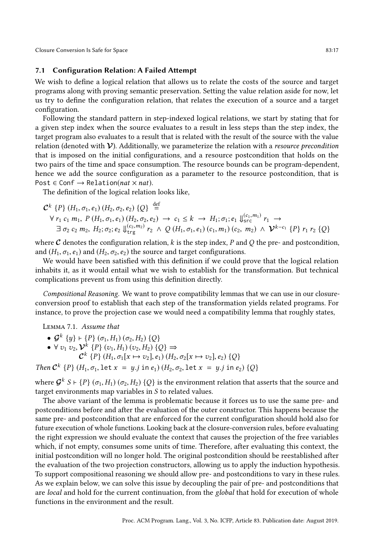Closure Conversion Is Safe for Space 83:17

## 7.1 Configuration Relation: A Failed Attempt

We wish to define a logical relation that allows us to relate the costs of the source and target programs along with proving semantic preservation. Setting the value relation aside for now, let us try to define the configuration relation, that relates the execution of a source and a target configuration.

Following the standard pattern in step-indexed logical relations, we start by stating that for a given step index when the source evaluates to a result in less steps than the step index, the target program also evaluates to a result that is related with the result of the source with the value relation (denoted with  $\mathcal V$ ). Additionally, we parameterize the relation with a *resource precondition* that is imposed on the initial configurations, and a resource postcondition that holds on the two pairs of the time and space consumption. The resource bounds can be program-dependent, hence we add the source configuration as a parameter to the resource postcondition, that is Post  $\in$  Conf  $\rightarrow$  Relation(*nat*  $\times$  *nat*).

The definition of the logical relation looks like,

$$
\mathcal{C}^{k} \{P\} (H_{1}, \sigma_{1}, e_{1}) (H_{2}, \sigma_{2}, e_{2}) \{Q\} \stackrel{\text{def}}{=} \forall r_{1} c_{1} m_{1}, P (H_{1}, \sigma_{1}, e_{1}) (H_{2}, \sigma_{2}, e_{2}) \rightarrow c_{1} \leq k \rightarrow H_{1}; \sigma_{1}; e_{1} \Downarrow_{\text{src}}^{(c_{1}, m_{1})} r_{1} \rightarrow \exists \sigma_{2} c_{2} m_{2}, H_{2}; \sigma_{2}; e_{2} \Downarrow_{\text{trg}}^{(c_{2}, m_{2})} r_{2} \wedge Q (H_{1}, \sigma_{1}, e_{1}) (c_{1}, m_{1}) (c_{2}, m_{2}) \wedge \mathcal{V}^{k-c_{1}} \{P\} r_{1} r_{2} \{Q\}
$$

where  $C$  denotes the configuration relation, k is the step index, P and Q the pre- and postcondition, and  $(H_1, \sigma_1, e_1)$  and  $(H_2, \sigma_2, e_2)$  the source and target configurations.

We would have been satisfied with this definition if we could prove that the logical relation inhabits it, as it would entail what we wish to establish for the transformation. But technical complications prevent us from using this definition directly.

Compositional Reasoning. We want to prove compatibility lemmas that we can use in our closureconversion proof to establish that each step of the transformation yields related programs. For instance, to prove the projection case we would need a compatibility lemma that roughly states,

Lemma 7.1. Assume that

- $\mathcal{G}^k$  {y}  $\vdash$  {P} ( $\sigma_1$ , H<sub>1</sub>) ( $\sigma_2$ , H<sub>2</sub>) {Q}
- $\forall v_1 v_2, \mathcal{V}^k \{P\} (v_1, H_1) (v_2, H_2) \{Q\} \Rightarrow$ 
	- $\mathcal{C}^k$  {P} (H<sub>1</sub>,  $\sigma_1[x \mapsto v_2], e_1$ ) (H<sub>2</sub>,  $\sigma_2[x \mapsto v_2], e_2$ ) {Q}

Then  $C^k$  {P} ( $H_1, \sigma_1$ , let  $x = y$ .j in  $e_1$ ) ( $H_2, \sigma_2$ , let  $x = y$ .j in  $e_2$ ) {Q}

where  $\mathcal{G}^k$  S + {P} ( $\sigma_1,H_1)$  ( $\sigma_2,H_2$ ) {Q} is the environment relation that asserts that the source and target environments map variables in S to related values.

The above variant of the lemma is problematic because it forces us to use the same pre- and postconditions before and after the evaluation of the outer constructor. This happens because the same pre- and postcondition that are enforced for the current configuration should hold also for future execution of whole functions. Looking back at the closure-conversion rules, before evaluating the right expression we should evaluate the context that causes the projection of the free variables which, if not empty, consumes some units of time. Therefore, after evaluating this context, the initial postcondition will no longer hold. The original postcondition should be reestablished after the evaluation of the two projection constructors, allowing us to apply the induction hypothesis. To support compositional reasoning we should allow pre- and postconditions to vary in these rules. As we explain below, we can solve this issue by decoupling the pair of pre- and postconditions that are local and hold for the current continuation, from the global that hold for execution of whole functions in the environment and the result.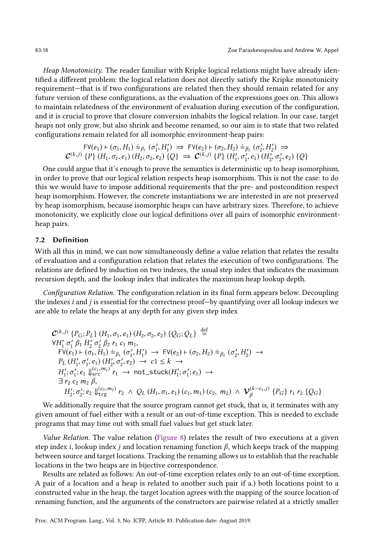Heap Monotonicity. The reader familiar with Kripke logical relations might have already identified a different problem: the logical relation does not directly satisfy the Kripke monotonicity requirement-that is if two configurations are related then they should remain related for any future version of these configurations, as the evaluation of the expressions goes on. This allows to maintain relatedness of the environment of evaluation during execution of the configuration, and it is crucial to prove that closure conversion inhabits the logical relation. In our case, target heaps not only grow, but also shrink and become renamed, so our aim is to state that two related configurations remain related for all isomorphic environment-heap pairs:

$$
\begin{array}{c} \mathsf{FV}(e_1) \vdash (\sigma_1, H_1) \stackrel{\dot{\approx}}{\approx} \beta_1 \ (\sigma'_1, H'_1) \implies \mathsf{FV}(e_2) \vdash (\sigma_2, H_2) \stackrel{\dot{\approx}}{\approx} \beta_2 \ (\sigma'_2, H'_2) \implies \\ C^{(k,j)} \ \{P\} \ (H_1, \sigma_1, e_1) \ (H_2, \sigma_2, e_2) \ \{Q\} \implies \mathcal{C}^{(k,j)} \ \{P\} \ (H'_1, \sigma'_1, e_1) \ (H'_2, \sigma'_2, e_2) \ \{Q\} \end{array}
$$

One could argue that it's enough to prove the semantics is deterministic up to heap isomorphism, in order to prove that our logical relation respects heap isomorphism. This is not the case: to do this we would have to impose additional requirements that the pre- and postcondition respect heap isomorphism. However, the concrete instantiations we are interested in are not preserved by heap isomorphism, because isomorphic heaps can have arbitrary sizes. Therefore, to achieve monotonicity, we explicitly close our logical definitions over all pairs of isomorphic environmentheap pairs.

# 7.2 Definition

With all this in mind, we can now simultaneously define a value relation that relates the results of evaluation and a configuration relation that relates the execution of two configurations. The relations are defined by induction on two indexes, the usual step index that indicates the maximum recursion depth, and the lookup index that indicates the maximum heap lookup depth.

Configuration Relation. The configuration relation in its final form appears below. Decoupling the indexes i and j is essential for the correctness proof $-$ by quantifying over all lookup indexes we are able to relate the heaps at any depth for any given step index

$$
\mathcal{C}^{(k,j)}\left\{P_G; P_L\right\} (H_1, \sigma_1, e_1) (H_2, \sigma_2, e_2) \left\{Q_G; Q_L\right\} \stackrel{\text{def}}{=} \n\forall H'_1 \sigma'_1 \beta_1 H'_2 \sigma'_2 \beta_2 r_1 c_1 m_1, \\
FV(e_1) \vdash (\sigma_1, H_1) \approx_{\beta_1} (\sigma'_1, H'_1) \rightarrow FV(e_2) \vdash (\sigma_2, H_2) \approx_{\beta_2} (\sigma'_2, H'_2) \rightarrow \\
P_L (H'_1, \sigma'_1, e_1) (H'_2, \sigma'_2, e_2) \rightarrow c1 \leq k \rightarrow \\
H'_1; \sigma'_1; e_1 \Downarrow_{src}^{(c_1, m_1)} r_1 \rightarrow \text{not\_stuck}(H'_1; \sigma'_1; e_1) \rightarrow \\
\exists r_2 c_2 m_2 \beta, \\
H'_2; \sigma'_2; e_2 \Downarrow_{trg}^{((c_2, m_2)} r_2 \land Q_L (H_1, \sigma_1, e_1) (c_1, m_1) (c_2, m_2) \land \mathcal{V}'^{(k-c_1, j)}_{\beta} \left\{P_G\right\} r_1 r_2 \left\{Q_G\right\}
$$

We additionally require that the source program cannot get stuck, that is, it terminates with any given amount of fuel either with a result or an out-of-time exception. This is needed to exclude programs that may time out with small fuel values but get stuck later.

Value Relation. The value relation [\(Figure 8\)](#page-18-0) relates the result of two executions at a given step index *i*, lookup index *j* and location renaming function  $\beta$ , which keeps track of the mapping between source and target locations. Tracking the renaming allows us to establish that the reachable locations in the two heaps are in bijective correspondence.

Results are related as follows: An out-of-time exception relates only to an out-of-time exception. A pair of a location and a heap is related to another such pair if a.) both locations point to a constructed value in the heap, the target location agrees with the mapping of the source location of renaming function, and the arguments of the constructors are pairwise related at a strictly smaller

Proc. ACM Program. Lang., Vol. 3, No. ICFP, Article 83. Publication date: August 2019.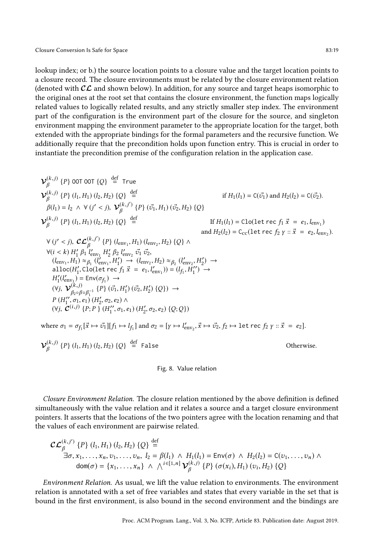lookup index; or b.) the source location points to a closure value and the target location points to a closure record. The closure environments must be related by the closure environment relation (denoted with  $\mathcal{CL}$  and shown below). In addition, for any source and target heaps isomorphic to the original ones at the root set that contains the closure environment, the function maps logically related values to logically related results, and any strictly smaller step index. The environment part of the configuration is the environment part of the closure for the source, and singleton environment mapping the environment parameter to the appropriate location for the target, both extended with the appropriate bindings for the formal parameters and the recursive function. We additionally require that the precondition holds upon function entry. This is crucial in order to instantiate the precondition premise of the configuration relation in the application case.

<span id="page-18-0"></span>
$$
\mathbf{V}_{\beta}^{(k,j)}\{P\} \text{ OOT OOT } \{Q\} \stackrel{\text{def}}{=} \text{ True}
$$
\n
$$
\mathbf{V}_{\beta}^{(k,j)}\{P\} (l_1, H_1) (l_2, H_2) \{Q\} \stackrel{\text{def}}{=} \text{ if } H_1(l_1) = C(\vec{v}_1) \text{ and } H_2(l_2) = C(\vec{v}_2).
$$
\n
$$
\rho_{\beta}^{(k,j)}\{P\} (l_1, H_1) (l_2, H_2) \{Q\} \stackrel{\text{def}}{=} \text{ If } H_1(l_1) = \text{Clo}(\text{let } \text{rec } f_1 \vec{x} = e_1, l_{env_1})
$$
\n
$$
\mathbf{V}_{\beta}^{(k,j)}\{P\} (l_1, H_1) (l_2, H_2) \{Q\} \stackrel{\text{def}}{=} \text{ If } H_1(l_1) = \text{Clo}(\text{let } \text{rec } f_1 \vec{x} = e_1, l_{env_1})
$$
\n
$$
\forall (j' < j), \mathbf{CC}_{\beta}^{(k,j')}\{P\} (l_{env_1}, H_1) (l_{env_2}, H_2) \{Q\} \land \forall (i < k) H_1' \beta_1 I_{env_1}' H_2' \beta_2 I_{env_2}' \vec{v}_1 \vec{v}_2,
$$
\n
$$
(l_{env_1}, H_1) \approx_{\beta_1} (l_{env_1}', H_1') \rightarrow (l_{env_2}, H_2) \approx_{\beta_2} (l_{env_2}', H_2') \rightarrow
$$
\n
$$
\text{alloc}(H_1', \text{Clo}(\text{let } \text{rec } f_1 \vec{x} = e_1, l_{env_1}') = (l_{f_1}, H_1'') \rightarrow
$$
\n
$$
H_1'(l_{env_1}') = \text{Env}(\sigma_{f_1}) \rightarrow
$$
\n
$$
(\forall j, \mathbf{V}_{\beta_2 \circ \beta_2 \beta_1^{-1}}^{(k,j)}\{P\} (\vec{v}_1', H_1') (\vec{v}_2, H_2') \{Q\}) \rightarrow
$$
\n
$$
P (H_1'', \sigma_1, e_1) (H_2', \sigma
$$

$$
\mathcal{V}_{\beta}^{(k,j)}\left\{P\right\}\left(l_1,H_1\right)\left(l_2,H_2\right)\left\{Q\right\} \stackrel{\mathrm{def}}{=} \mathsf{False}
$$

Otherwise.

#### Fig. 8. Value relation

Closure Environment Relation. The closure relation mentioned by the above definition is defined simultaneously with the value relation and it relates a source and a target closure environment pointers. It asserts that the locations of the two pointers agree with the location renaming and that the values of each environment are pairwise related.

$$
\mathcal{CL}_{\beta}^{(k,j')} \{P\} (l_1, H_1) (l_2, H_2) \{Q\} \stackrel{\text{def}}{=} \\ \exists \sigma, x_1, \dots, x_n, v_1, \dots, v_n, \ l_2 = \beta(l_1) \land H_1(l_1) = \text{Env}(\sigma) \land H_2(l_2) = \text{C}(v_1, \dots, v_n) \land \\ \text{dom}(\sigma) = \{x_1, \dots, x_n\} \land \bigwedge^{i \in [1, n]} \mathcal{V}_{\beta}^{(k,j)} \{P\} (\sigma(x_i), H_1) (v_i, H_2) \{Q\}
$$

Environment Relation. As usual, we lift the value relation to environments. The environment relation is annotated with a set of free variables and states that every variable in the set that is bound in the first environment, is also bound in the second environment and the bindings are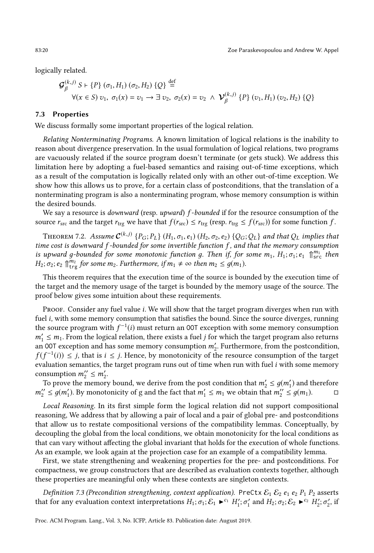logically related.

$$
\mathcal{G}_{\beta}^{(k,j)} S \vdash \{P\} (\sigma_1, H_1) (\sigma_2, H_2) \{Q\} \stackrel{\text{def}}{=} \forall (x \in S) \ v_1, \ \sigma_1(x) = v_1 \rightarrow \exists \ v_2, \ \sigma_2(x) = v_2 \ \land \ \mathcal{V}_{\beta}^{(k,j)} \{P\} \ (v_1, H_1) \ (v_2, H_2) \{Q\}
$$

## 7.3 Properties

We discuss formally some important properties of the logical relation.

Relating Nonterminating Programs. A known limitation of logical relations is the inability to reason about divergence preservation. In the usual formulation of logical relations, two programs are vacuously related if the source program doesn't terminate (or gets stuck). We address this limitation here by adopting a fuel-based semantics and raising out-of-time exceptions, which as a result of the computation is logically related only with an other out-of-time exception. We show how this allows us to prove, for a certain class of postconditions, that the translation of a nonterminating program is also a nonterminating program, whose memory consumption is within the desired bounds.

We say a resource is *downward* (resp. upward) f-bounded if for the resource consumption of the source  $r_{src}$  and the target  $r_{trg}$  we have that  $f(r_{src}) \le r_{trg}$  (resp.  $r_{trg} \le f(r_{src})$ ) for some function f.

THEOREM 7.2. Assume  $\mathcal{C}^{(k,j)}$   $\{P_G;P_L\}$   $(H_1,\sigma_1,e_1)$   $(H_2,\sigma_2,e_2)$   $\{Q_G;Q_L\}$  and that  $Q_L$  implies that time cost is downward  $f$ -bounded for some invertible function  $f$ , and that the memory consumption is upward g-bounded for some monotonic function g. Then if, for some  $m_1$ ,  $H_1$ ;  $\sigma_1$ ;  $e_1 \bigoplus_{S}^{m_1}$  then  $H_2$ ;  $\sigma_2$ ;  $e_2 \bigcap_{\text{trg}}^{m_2}$  for some  $m_2$ . Furthermore, if  $m_1 \neq \infty$  then  $m_2 \leq g(m_1)$ .

This theorem requires that the execution time of the source is bounded by the execution time of the target and the memory usage of the target is bounded by the memory usage of the source. The proof below gives some intuition about these requirements.

PROOF. Consider any fuel value *i*. We will show that the target program diverges when run with fuel *i*, with some memory consumption that satisfies the bound. Since the source diverges, running the source program with  $f^{-1}(i)$  must return an 00T exception with some memory consumption  $m'_1 \leq m_1$ . From the logical relation, there exists a fuel j for which the target program also returns an 00T exception and has some memory consumption  $m'_2$ . Furthermore, from the postcondition,  $f(f^{-1}(i)) \leq j$ , that is  $i \leq j$ . Hence, by monotonicity of the resource consumption of the target evaluation semantics, the target program runs out of time when run with fuel *i* with some memory consumption  $m_2'' \leq m_2'$ .

To prove the memory bound, we derive from the post condition that  $m'_2 \leq g(m'_1)$  and therefore  $m''_2 \leq g(m'_1)$ . By monotonicity of g and the fact that  $m'_1 \leq m_1$  we obtain that  $m''_2 \leq g(m_1)$ .  $\Box$ 

Local Reasoning. In its first simple form the logical relation did not support compositional reasoning, We address that by allowing a pair of local and a pair of global pre- and postconditions that allow us to restate compositional versions of the compatibility lemmas. Conceptually, by decoupling the global from the local conditions, we obtain monotonicity for the local conditions as that can vary without affecting the global invariant that holds for the execution of whole functions. As an example, we look again at the projection case for an example of a compatibility lemma.

First, we state strengthening and weakening properties for the pre- and postconditions. For compactness, we group constructors that are described as evaluation contexts together, although these properties are meaningful only when these contexts are singleton contexts.

Definition 7.3 (Precondition strengthening, context application). PreCtx  $\mathcal{E}_1 \mathcal{E}_2$  e<sub>1</sub> e<sub>2</sub> P<sub>1</sub> P<sub>2</sub> asserts that for any evaluation context interpretations  $H_1; \sigma_1; \mathcal{E}_1 \blacktriangleright^{c_1} H_1'; \sigma_1'$  and  $H_2; \sigma_2; \mathcal{E}_2 \blacktriangleright^{c_2} H_2'; \sigma_2',$  if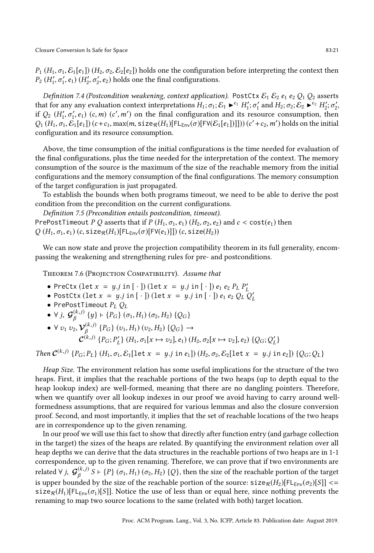$P_1 (H_1, \sigma_1, \mathcal{E}_1[\epsilon_1]) (H_2, \sigma_2, \mathcal{E}_2[\epsilon_2])$  holds one the configuration before interpreting the context then  $P_2(H'_1, \sigma'_1, e_1)$   $(H'_2, \sigma'_2, e_2)$  holds one the final configurations.

Definition 7.4 (Postcondition weakening, context application). PostCtx  $\mathcal{E}_1$   $\mathcal{E}_2$  e<sub>1</sub> e<sub>2</sub>  $Q_1$   $Q_2$  asserts that for any any evaluation context interpretations  $H_1$ ;  $\sigma_1$ ;  $\mathcal{E}_1 \blacktriangleright^{c_1} H_1'$ ;  $\sigma_1'$  and  $H_2$ ;  $\sigma_2$ ;  $\mathcal{E}_2 \blacktriangleright^{c_2} H_2'$ ;  $\sigma_2'$ , if  $Q_2$  ( $H'_1, \sigma'_1, e_1$ ) (c,m) (c',m') on the final configuration and its resource consumption, then  $Q_1(H_1, \sigma_1, \mathcal{E}_1[e_1])$   $(c+c_1, \max(m, \text{size}_{\mathcal{R}}(H_1)[\mathsf{FL}_{\mathsf{Env}}(\sigma)[\mathsf{FV}(\mathcal{E}_1[e_1])]])$   $(c'+c_2, m')$  holds on the initial configuration and its resource consumption.

Above, the time consumption of the initial configurations is the time needed for evaluation of the final configurations, plus the time needed for the interpretation of the context. The memory consumption of the source is the maximum of the size of the reachable memory from the initial configurations and the memory consumption of the final configurations. The memory consumption of the target configuration is just propagated.

To establish the bounds when both programs timeout, we need to be able to derive the post condition from the precondition on the current configurations.

Definition 7.5 (Precondition entails postcondition, timeout). PrePostTimeout P Q asserts that if P  $(H_1, \sigma_1, e_1)$   $(H_2, \sigma_2, e_2)$  and  $c < \text{cost}(e_1)$  then

 $Q(H_1, \sigma_1, e_1)$  (c, size $R(H_1)[\mathsf{FL}_{\mathsf{Env}}(\sigma)[\mathsf{FV}(e_1)]]$ ) (c, size( $H_2$ ))

We can now state and prove the projection compatibility theorem in its full generality, encompassing the weakening and strengthening rules for pre- and postconditions.

THEOREM 7.6 (PROJECTION COMPATIBILITY). Assume that

- 
- PreCtx (let  $x = y.j$  in  $[\cdot]$ ) (let  $x = y.j$  in  $[\cdot]$ )  $e_1 e_2 P_L P'_L$ <br>• PostCtx (let  $x = y.j$  in  $[\cdot]$ ) (let  $x = y.j$  in  $[\cdot]$ )  $e_1 e_2 Q_L Q'_L$
- PrePostTimeout  $P_L Q_L$
- $\forall j, \mathcal{G}_{\beta}^{(k,j)}\{y\} \vdash \{P_G\} (\sigma_1, H_1) (\sigma_2, H_2) \{Q_G\}$
- $\forall v_1 v_2, \mathcal{V}_{\beta}^{(k,j)}$  { $P_G$ } ( $v_1, H_1$ ) ( $v_2, H_2$ ) { $Q_G$ }  $\rightarrow$  $\mathcal{C}^{(k,j)}\left\{P_G;P'_L\right\}\left(H_1,\sigma_1[x \mapsto v_2],e_1\right)\left(H_2,\sigma_2[x \mapsto v_2],e_2\right)\left\{Q_G;Q'_L\right\}$

Then  $C^{(k,j)}$  {P<sub>G</sub>; P<sub>L</sub>} (H<sub>1</sub>,  $\sigma_1$ , E<sub>1</sub>[let  $x = y.j$  in  $e_1$ ]) (H<sub>2</sub>,  $\sigma_2$ , E<sub>2</sub>[let  $x = y.j$  in  $e_2$ ]) {Q<sub>G</sub>; Q<sub>L</sub>}

Heap Size. The environment relation has some useful implications for the structure of the two heaps. First, it implies that the reachable portions of the two heaps (up to depth equal to the heap lookup index) are well-formed, meaning that there are no dangling pointers. Therefore, when we quantify over all lookup indexes in our proof we avoid having to carry around wellformedness assumptions, that are required for various lemmas and also the closure conversion proof. Second, and most importantly, it implies that the set of reachable locations of the two heaps are in correspondence up to the given renaming.

In our proof we will use this fact to show that directly after function entry (and garbage collection in the target) the sizes of the heaps are related. By quantifying the environment relation over all heap depths we can derive that the data structures in the reachable portions of two heaps are in 1-1 correspondence, up to the given renaming. Therefore, we can prove that if two environments are related ∀  $j$ ,  $\bm{\mathcal{G}}_\beta^{(k,j)}$   $S$  ⊢  $\{P\}$   $(\sigma_1,H_1)$   $(\sigma_2,H_2)$   $\{Q\},$  then the size of the reachable portion of the target is upper bounded by the size of the reachable portion of the source:  $size_R(H_2)[FLE_{\text{env}}(\sigma_2)[S]] \le$ size<sub>R</sub>(H<sub>1</sub>)[FL<sub>Env</sub>( $\sigma_1$ )[S]]. Notice the use of less than or equal here, since nothing prevents the renaming to map two source locations to the same (related with both) target location.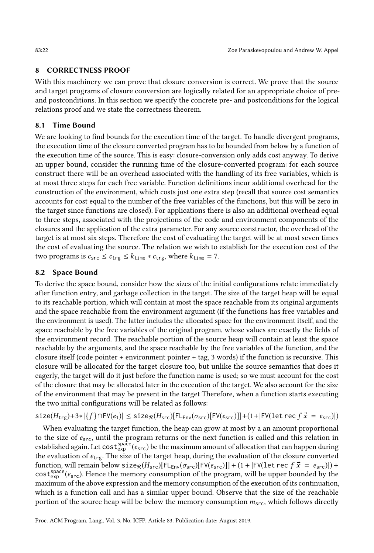## <span id="page-21-0"></span>8 CORRECTNESS PROOF

With this machinery we can prove that closure conversion is correct. We prove that the source and target programs of closure conversion are logically related for an appropriate choice of preand postconditions. In this section we specify the concrete pre- and postconditions for the logical relations proof and we state the correctness theorem.

# 8.1 Time Bound

We are looking to find bounds for the execution time of the target. To handle divergent programs, the execution time of the closure converted program has to be bounded from below by a function of the execution time of the source. This is easy: closure-conversion only adds cost anyway. To derive an upper bound, consider the running time of the closure-converted program: for each source construct there will be an overhead associated with the handling of its free variables, which is at most three steps for each free variable. Function definitions incur additional overhead for the construction of the environment, which costs just one extra step (recall that source cost semantics accounts for cost equal to the number of the free variables of the functions, but this will be zero in the target since functions are closed). For applications there is also an additional overhead equal to three steps, associated with the projections of the code and environment components of the closures and the application of the extra parameter. For any source constructor, the overhead of the target is at most six steps. Therefore the cost of evaluating the target will be at most seven times the cost of evaluating the source. The relation we wish to establish for the execution cost of the two programs is  $c_{src} \leq c_{trg} \leq k_{time} * c_{trg}$ , where  $k_{time} = 7$ .

## 8.2 Space Bound

To derive the space bound, consider how the sizes of the initial configurations relate immediately after function entry, and garbage collection in the target. The size of the target heap will be equal to its reachable portion, which will contain at most the space reachable from its original arguments and the space reachable from the environment argument (if the functions has free variables and the environment is used). The latter includes the allocated space for the environment itself, and the space reachable by the free variables of the original program, whose values are exactly the fields of the environment record. The reachable portion of the source heap will contain at least the space reachable by the arguments, and the space reachable by the free variables of the function, and the closure itself (code pointer + environment pointer + tag, 3 words) if the function is recursive. This closure will be allocated for the target closure too, but unlike the source semantics that does it eagerly, the target will do it just before the function name is used; so we must account for the cost of the closure that may be allocated later in the execution of the target. We also account for the size of the environment that may be present in the target Therefore, when a function starts executing the two initial configurations will be related as follows:

 $size(H_{trg})+3*|{f} \cap FV(e_1)| \leq size_R(H_{src})[FLE_{inv}(\sigma_{src})[FV(e_{src})]]+(1+|FV(\text{let rec } f\vec{x} = e_{src})|)$ 

When evaluating the target function, the heap can grow at most by a an amount proportional to the size of  $e_{src}$ , until the program returns or the next function is called and this relation in established again. Let  $\cos t_{\rm exp}^{\rm space} (e_{\rm src})$  be the maximum amount of allocation that can happen during the evaluation of  $e_{\text{trg}}$ . The size of the target heap, during the evaluation of the closure converted function, will remain below size $R(H_{src})[FL_{env}(\sigma_{src})[FV(e_{src})]] + (1 + |FV|)$  et rec  $f\vec{x} = e_{src}|) +$  $cost_{exp}^{space}(e_{src})$ . Hence the memory consumption of the program, will be upper bounded by the maximum of the above expression and the memory consumption of the execution of its continuation, which is a function call and has a similar upper bound. Observe that the size of the reachable portion of the source heap will be below the memory consumption  $m_{src}$ , which follows directly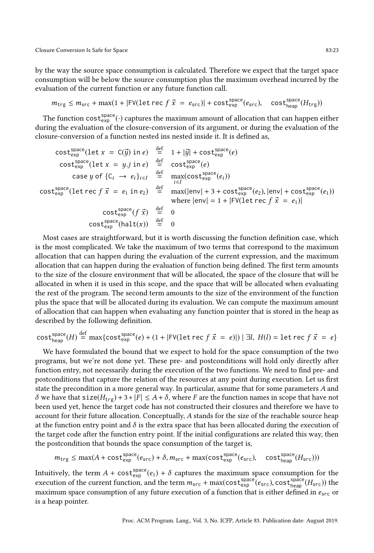by the way the source space consumption is calculated. Therefore we expect that the target space consumption will be below the source consumption plus the maximum overhead incurred by the evaluation of the current function or any future function call.

$$
m_{\text{trg}} \le m_{\text{src}} + \max(1 + |\text{FV}(\text{let rec } f \vec{x})| + \text{cost}_{\text{exp}}^{\text{space}}(e_{\text{src}}), \quad \text{cost}_{\text{heap}}^{\text{space}}(H_{\text{trg}}))
$$

The function  $\mathsf{cost}_{\mathsf{exp}}^{\mathsf{space}}(\cdot)$  captures the maximum amount of allocation that can happen either during the evaluation of the closure-conversion of its argument, or during the evaluation of the closure-conversion of a function nested ins nested inside it. It is defined as,

$$
\begin{array}{rcl}\n\text{cost}^{\text{space}}_{\text{exp}}(\text{let } x = C(\vec{y}) \text{ in } e) & \stackrel{\text{def}}{=} & 1 + |\vec{y}| + \text{cost}^{\text{space}}_{\text{exp}}(e) \\
\text{cost}^{\text{space}}_{\text{exp}}(\text{let } x = y \text{ in } e) & \stackrel{\text{def}}{=} & \text{cost}^{\text{space}}_{\text{exp}}(e) \\
\text{case } y \text{ of } \{C_i \rightarrow e_i\}_{i \in I} & \stackrel{\text{def}}{=} & \max(\text{cost}^{\text{space}}_{\text{exp}}(e_i)) \\
\text{cost}^{\text{space}}_{\text{exp}}(\text{let } \text{rec } f \ \vec{x} = e_1 \text{ in } e_2) & \stackrel{\text{def}}{=} & \max(|\text{env}| + 3 + \text{cost}^{\text{space}}_{\text{exp}}(e_2), |\text{env}| + \text{cost}^{\text{space}}_{\text{exp}}(e_1)) \\
\text{where } |\text{env}| = 1 + |\text{FV}(\text{let } \text{rec } f \ \vec{x} = e_1)| \\
\text{cost}^{\text{space}}_{\text{exp}}(\text{fail}(x)) & \stackrel{\text{def}}{=} & 0 \\
\text{cost}^{\text{space}}_{\text{exp}}(\text{halt}(x)) & \stackrel{\text{def}}{=} & 0\n\end{array}
$$

Most cases are straightforward, but it is worth discussing the function definition case, which is the most complicated. We take the maximum of two terms that correspond to the maximum allocation that can happen during the evaluation of the current expression, and the maximum allocation that can happen during the evaluation of function being defined. The first term amounts to the size of the closure environment that will be allocated, the space of the closure that will be allocated in when it is used in this scope, and the space that will be allocated when evaluating the rest of the program. The second term amounts to the size of the environment of the function plus the space that will be allocated during its evaluation. We can compute the maximum amount of allocation that can happen when evaluating any function pointer that is stored in the heap as described by the following definition.

$$
\text{cost}^{\text{space}}_{\text{heap}}(H) \stackrel{\text{def}}{=} \max \{ \text{cost}^{\text{space}}_{\text{exp}}(e) + (1 + |\text{FV}(\text{let rec } f \vec{x} = e)|) | \exists l, H(l) = \text{let rec } f \vec{x} = e \}
$$

We have formulated the bound that we expect to hold for the space consumption of the two programs, but we're not done yet. These pre- and postconditions will hold only directly after function entry, not necessarily during the execution of the two functions. We need to find pre- and postconditions that capture the relation of the resources at any point during execution. Let us first state the precondition in a more general way. In particular, assume that for some parameters A and  $δ$  we have that size( $H_{trg}$ ) + 3 ∗ |F| ≤ A + δ, where F are the function names in scope that have not been used yet, hence the target code has not constructed their closures and therefore we have to account for their future allocation. Conceptually, A stands for the size of the reachable source heap at the function entry point and  $\delta$  is the extra space that has been allocated during the execution of the target code after the function entry point. If the initial configurations are related this way, then the postcondition that bounds the space consumption of the target is,

$$
m_{\text{trg}} \le \max(A + \text{cost}_{\text{exp}}^{\text{space}}(e_{\text{src}}) + \delta, m_{\text{src}} + \max(\text{cost}_{\text{exp}}^{\text{space}}(e_{\text{src}}), \quad \text{cost}_{\text{heap}}^{\text{space}}(H_{\text{src}})))
$$

Intuitively, the term  $A+{\tt cost}_{\sf exp}^{\sf space}(e_1)+\delta$  captures the maximum space consumption for the execution of the current function, and the term  $m_{src}$  + max(cost  $_{exp}^{space}(e_{src})$ , cost  $_{heap}^{space}(H_{src})$ ) the maximum space consumption of any future execution of a function that is either defined in  $e_{src}$  or is a heap pointer.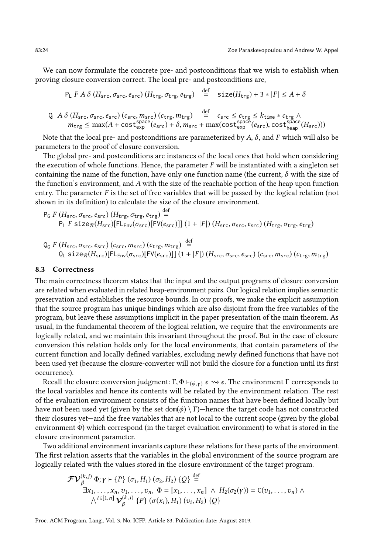We can now formulate the concrete pre- and postconditions that we wish to establish when proving closure conversion correct. The local pre- and postconditions are,

$$
P_L F A \delta (H_{src}, \sigma_{src}, e_{src}) (H_{trg}, \sigma_{trg}, e_{trg}) \stackrel{\text{def}}{=} \text{size}(H_{trg}) + 3 * |F| \le A + \delta
$$

$$
Q_{L} A \delta (H_{src}, \sigma_{src}, e_{src}) (c_{src}, m_{src}) (c_{trg}, m_{trg}) = c_{src} \le c_{trg} \le k_{time} * c_{trg} \wedge m_{trg} \le max(A + \text{cost}_{exp}^{space}(e_{src}) + \delta, m_{src} + \max(\text{cost}_{exp}^{space}(e_{src}), \text{cost}_{heap}^{space}(H_{src}))
$$

def

Note that the local pre- and postconditions are parameterized by  $A$ ,  $\delta$ , and F which will also be parameters to the proof of closure conversion.

The global pre- and postconditions are instances of the local ones that hold when considering the execution of whole functions. Hence, the parameter  $F$  will be instantiated with a singleton set containing the name of the function, have only one function name (the current,  $\delta$  with the size of the function's environment, and  $A$  with the size of the reachable portion of the heap upon function entry. The parameter  $F$  is the set of free variables that will be passed by the logical relation (not shown in its definition) to calculate the size of the closure environment.

$$
P_G F(H_{src}, \sigma_{src}, e_{src}) (H_{trg}, \sigma_{trg}, e_{trg}) \stackrel{\text{def}}{=} P_L F size_R(H_{src}) [FL_{env}(\sigma_{src}) [FV(e_{src})]] (1 + |F|) (H_{src}, \sigma_{src}, e_{src}) (H_{trg}, \sigma_{trg}, e_{trg})
$$

$$
Q_G F(H_{src}, \sigma_{src}, e_{src}) (c_{src}, m_{src}) (c_{trg}, m_{trg}) \stackrel{\text{def}}{=} Q_L size_R(H_{src}) [FL_{Env}(\sigma_{src}) [FV(e_{src})]] (1 + |F|) (H_{src}, \sigma_{src}, e_{src}) (c_{src}, m_{src}) (c_{trg}, m_{trg})
$$

#### 8.3 Correctness

The main correctness theorem states that the input and the output programs of closure conversion are related when evaluated in related heap-environment pairs. Our logical relation implies semantic preservation and establishes the resource bounds. In our proofs, we make the explicit assumption that the source program has unique bindings which are also disjoint from the free variables of the program, but leave these assumptions implicit in the paper presentation of the main theorem. As usual, in the fundamental theorem of the logical relation, we require that the environments are logically related, and we maintain this invariant throughout the proof. But in the case of closure conversion this relation holds only for the local environments, that contain parameters of the current function and locally defined variables, excluding newly defined functions that have not been used yet (because the closure-converter will not build the closure for a function until its first occurrence).

Recall the closure conversion judgment: Γ, Φ  $\vdash_{(\phi,\gamma)} e \leadsto \bar{e}$ . The environment Γ corresponds to the local variables and hence its contents will be related by the environment relation. The rest of the evaluation environment consists of the function names that have been defined locally but have not been used yet (given by the set dom( $\phi$ ) \ Γ)—hence the target code has not constructed their closures yet—and the free variables that are not local to the current scope (given by the global environment Φ) which correspond (in the target evaluation environment) to what is stored in the closure environment parameter.

Two additional environment invariants capture these relations for these parts of the environment. The first relation asserts that the variables in the global environment of the source program are logically related with the values stored in the closure environment of the target program.

$$
\mathcal{F} \mathcal{V}_{\beta}^{(k,j)} \Phi; \gamma \vdash \{P\} (\sigma_1, H_1) (\sigma_2, H_2) \{Q\} \stackrel{\text{def}}{=} \exists x_1, \ldots, x_n, v_1, \ldots, v_n, \Phi = [x_1, \ldots, x_n] \land H_2(\sigma_2(\gamma)) = C(v_1, \ldots, v_n) \land \land^{i \in [1,n]} \mathcal{V}_{\beta}^{(k,j)} \{P\} (\sigma(x_i), H_1) (v_i, H_2) \{Q\}
$$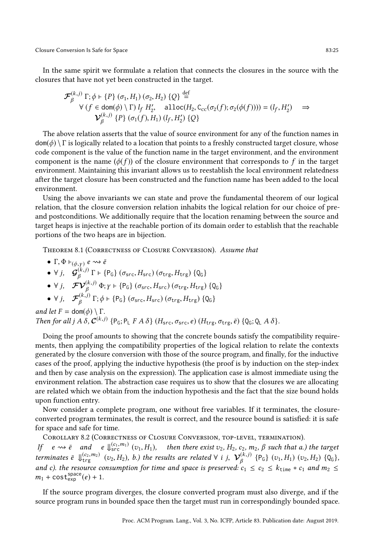Closure Conversion Is Safe for Space 83:25

In the same spirit we formulate a relation that connects the closures in the source with the closures that have not yet been constructed in the target.

$$
\mathcal{F}_{\beta}^{(k,j)} \Gamma; \phi \vdash \{P\} (\sigma_1, H_1) (\sigma_2, H_2) \{Q\} \stackrel{\text{def}}{=} \forall (f \in \text{dom}(\phi) \setminus \Gamma) l_f H_2', \quad \text{alloc}(H_2, C_{cc}(\sigma_2(f); \sigma_2(\phi(f)))) = (l_f, H_2') \Rightarrow \mathcal{V}_{\beta}^{(k,j)} \{P\} (\sigma_1(f), H_1) (l_f, H_2') \{Q\}
$$

The above relation asserts that the value of source environment for any of the function names in  $dom(\phi) \setminus \Gamma$  is logically related to a location that points to a freshly constructed target closure, whose code component is the value of the function name in the target environment, and the environment component is the name  $(\phi(f))$  of the closure environment that corresponds to f in the target environment. Maintaining this invariant allows us to reestablish the local environment relatedness after the target closure has been constructed and the function name has been added to the local environment.

Using the above invariants we can state and prove the fundamental theorem of our logical relation, that the closure conversion relation inhabits the logical relation for our choice of preand postconditions. We additionally require that the location renaming between the source and target heaps is injective at the reachable portion of its domain order to establish that the reachable portions of the two heaps are in bijection.

Theorem 8.1 (Correctness of Closure Conversion). Assume that

\n- \n
$$
\Gamma, \Phi \vdash_{(\phi, \gamma)} e \rightsquigarrow \bar{e}
$$
\n
\n- \n $\forall j, \quad \mathcal{G}_{\beta}^{(k,j)} \Gamma \vdash \{\mathsf{P}_{\mathsf{G}}\} \left( \sigma_{\text{src}}, H_{\text{src}} \right) \left( \sigma_{\text{trg}}, H_{\text{trg}} \right) \{ \mathsf{Q}_{\mathsf{G}} \}$ \n
\n- \n $\forall j, \quad \mathcal{F} \mathcal{V}_{\beta}^{(k,j)} \Phi; \gamma \vdash \{\mathsf{P}_{\mathsf{G}}\} \left( \sigma_{\text{src}}, H_{\text{src}} \right) \left( \sigma_{\text{trg}}, H_{\text{trg}} \right) \{ \mathsf{Q}_{\mathsf{G}} \}$ \n
\n- \n $\forall j, \quad \mathcal{F}_{\beta}^{(k,j)} \Gamma; \phi \vdash \{\mathsf{P}_{\mathsf{G}}\} \left( \sigma_{\text{src}}, H_{\text{src}} \right) \left( \sigma_{\text{trg}}, H_{\text{trg}} \right) \{ \mathsf{Q}_{\mathsf{G}} \}$ \n
\n

and let  $F = \text{dom}(\phi) \setminus \Gamma$ . Then for all j  $A \delta$ ,  $C^{(k,j)}$  {P<sub>G</sub>; P<sub>L</sub>  $F A \delta$ } ( $H_{src}, \sigma_{src}, e$ ) ( $H_{trg}, \sigma_{trg}, \bar{e}$ ) {Q<sub>G</sub>; Q<sub>L</sub>  $A \delta$ }.

Doing the proof amounts to showing that the concrete bounds satisfy the compatibility requirements, then applying the compatibility properties of the logical relation to relate the contexts generated by the closure conversion with those of the source program, and finally, for the inductive cases of the proof, applying the inductive hypothesis (the proof is by induction on the step-index and then by case analysis on the expression). The application case is almost immediate using the environment relation. The abstraction case requires us to show that the closures we are allocating are related which we obtain from the induction hypothesis and the fact that the size bound holds upon function entry.

Now consider a complete program, one without free variables. If it terminates, the closureconverted program terminates, the result is correct, and the resource bound is satisfied: it is safe for space and safe for time.

Corollary 8.2 (Correctness of Closure Conversion, top-level, termination).

If  $e \rightsquigarrow \overline{e}$  and  $e \Downarrow_{\text{src}}^{(c_1, m_1)} (v_1, H_1)$ , then there exist  $v_2$ ,  $H_2$ ,  $c_2$ ,  $m_2$ ,  $\beta$  such that a.) the target terminates  $\bar{e}$   $\downarrow$   $\downarrow$   $\downarrow$   $\downarrow$   $\downarrow$   $\downarrow$   $\downarrow$   $\downarrow$   $\downarrow$   $\downarrow$   $\downarrow$   $\downarrow$   $\downarrow$   $\downarrow$   $\downarrow$   $\downarrow$   $\downarrow$   $\downarrow$   $\downarrow$   $\downarrow$   $\downarrow$   $\downarrow$   $\downarrow$   $\downarrow$   $\downarrow$   $\downarrow$   $\downarrow$   $\downarrow$   $\downarrow$   $\downarrow$   $\downarrow$   $\downarrow$   $\downarrow$   $\downarrow$ and c). the resource consumption for time and space is preserved:  $c_1 \le c_2 \le k_{\text{time}} * c_1$  and  $m_2 \le k_{\text{time}}$  $m_1 + \text{cost}^{\text{space}}_{\text{exp}}(e) + 1.$ 

If the source program diverges, the closure converted program must also diverge, and if the source program runs in bounded space then the target must run in correspondingly bounded space.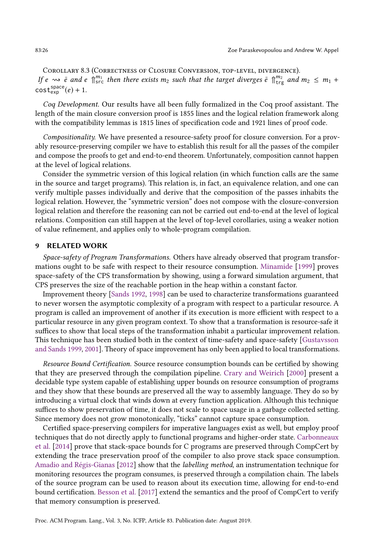Corollary 8.3 (Correctness of Closure Conversion, top-level, divergence). If  $e \rightsquigarrow \tilde{e}$  and  $e \parallel_{src}^{m_1}$  then there exists  $m_2$  such that the target diverges  $\tilde{e} \parallel_{trg}^{m_2}$  and  $m_2 \le m_1 +$  $\textsf{cost}^\textsf{space}_{\textsf{exp}}(e) + 1.$ 

Coq Development. Our results have all been fully formalized in the Coq proof assistant. The length of the main closure conversion proof is 1855 lines and the logical relation framework along with the compatibility lemmas is 1815 lines of specification code and 1921 lines of proof code.

Compositionality. We have presented a resource-safety proof for closure conversion. For a provably resource-preserving compiler we have to establish this result for all the passes of the compiler and compose the proofs to get and end-to-end theorem. Unfortunately, composition cannot happen at the level of logical relations.

Consider the symmetric version of this logical relation (in which function calls are the same in the source and target programs). This relation is, in fact, an equivalence relation, and one can verify multiple passes individually and derive that the composition of the passes inhabits the logical relation. However, the "symmetric version" does not compose with the closure-conversion logical relation and therefore the reasoning can not be carried out end-to-end at the level of logical relations. Composition can still happen at the level of top-level corollaries, using a weaker notion of value refinement, and applies only to whole-program compilation.

# <span id="page-25-0"></span>9 RELATED WORK

Space-safety of Program Transformations. Others have already observed that program transformations ought to be safe with respect to their resource consumption. [Minamide](#page-28-6) [\[1999\]](#page-28-6) proves space-safety of the CPS transformation by showing, using a forward simulation argument, that CPS preserves the size of the reachable portion in the heap within a constant factor.

Improvement theory [\[Sands 1992,](#page-28-13) [1998\]](#page-28-14) can be used to characterize transformations guaranteed to never worsen the asymptotic complexity of a program with respect to a particular resource. A program is called an improvement of another if its execution is more efficient with respect to a particular resource in any given program context. To show that a transformation is resource-safe it suffices to show that local steps of the transformation inhabit a particular improvement relation. This technique has been studied both in the context of time-safety and space-safety [\[Gustavsson](#page-27-12) [and Sands 1999,](#page-27-12) [2001\]](#page-27-13). Theory of space improvement has only been applied to local transformations.

Resource Bound Certification. Source resource consumption bounds can be certified by showing that they are preserved through the compilation pipeline. [Crary and Weirich](#page-27-3) [\[2000\]](#page-27-3) present a decidable type system capable of establishing upper bounds on resource consumption of programs and they show that these bounds are preserved all the way to assembly language. They do so by introducing a virtual clock that winds down at every function application. Although this technique suffices to show preservation of time, it does not scale to space usage in a garbage collected setting. Since memory does not grow monotonically, "ticks" cannot capture space consumption.

Certified space-preserving compilers for imperative languages exist as well, but employ proof techniques that do not directly apply to functional programs and higher-order state. [Carbonneaux](#page-27-14) [et al.](#page-27-14) [\[2014\]](#page-27-14) prove that stack-space bounds for C programs are preserved through CompCert by extending the trace preservation proof of the compiler to also prove stack space consumption. [Amadio and Régis-Gianas](#page-27-15) [\[2012\]](#page-27-15) show that the labelling method, an instrumentation technique for monitoring resources the program consumes, is preserved through a compilation chain. The labels of the source program can be used to reason about its execution time, allowing for end-to-end bound certification. [Besson et al.](#page-27-16) [\[2017\]](#page-27-16) extend the semantics and the proof of CompCert to verify that memory consumption is preserved.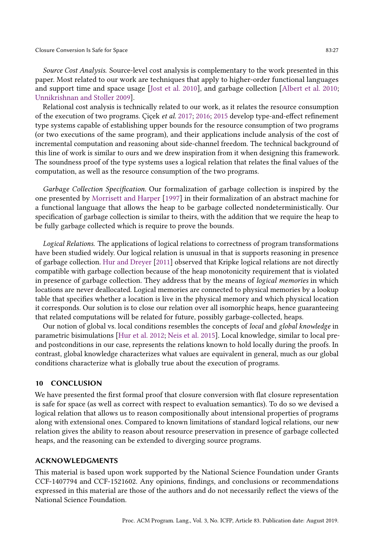Source Cost Analysis. Source-level cost analysis is complementary to the work presented in this paper. Most related to our work are techniques that apply to higher-order functional languages and support time and space usage [\[Jost et al.](#page-27-1) [2010\]](#page-27-1), and garbage collection [\[Albert et al.](#page-27-2) [2010;](#page-27-2) [Unnikrishnan and Stoller 2009\]](#page-28-5).

Relational cost analysis is technically related to our work, as it relates the resource consumption of the execution of two programs. Çiçek et al. [2017;](#page-27-17) [2016;](#page-27-18) [2015](#page-27-19) develop type-and-effect refinement type systems capable of establishing upper bounds for the resource consumption of two programs (or two executions of the same program), and their applications include analysis of the cost of incremental computation and reasoning about side-channel freedom. The technical background of this line of work is similar to ours and we drew inspiration from it when designing this framework. The soundness proof of the type systems uses a logical relation that relates the final values of the computation, as well as the resource consumption of the two programs.

Garbage Collection Specification. Our formalization of garbage collection is inspired by the one presented by [Morrisett and Harper](#page-28-15) [\[1997\]](#page-28-15) in their formalization of an abstract machine for a functional language that allows the heap to be garbage collected nondeterministically. Our specification of garbage collection is similar to theirs, with the addition that we require the heap to be fully garbage collected which is require to prove the bounds.

Logical Relations. The applications of logical relations to correctness of program transformations have been studied widely. Our logical relation is unusual in that is supports reasoning in presence of garbage collection. [Hur and Dreyer](#page-27-20) [\[2011\]](#page-27-20) observed that Kripke logical relations are not directly compatible with garbage collection because of the heap monotonicity requirement that is violated in presence of garbage collection. They address that by the means of logical memories in which locations are never deallocated. Logical memories are connected to physical memories by a lookup table that specifies whether a location is live in the physical memory and which physical location it corresponds. Our solution is to close our relation over all isomorphic heaps, hence guaranteeing that related computations will be related for future, possibly garbage-collected, heaps.

Our notion of global vs. local conditions resembles the concepts of local and global knowledge in parametric bisimulations [\[Hur et al.](#page-27-21) [2012;](#page-27-21) [Neis et al.](#page-28-3) [2015\]](#page-28-3). Local knowledge, similar to local preand postconditions in our case, represents the relations known to hold locally during the proofs. In contrast, global knowledge characterizes what values are equivalent in general, much as our global conditions characterize what is globally true about the execution of programs.

#### <span id="page-26-0"></span>10 CONCLUSION

We have presented the first formal proof that closure conversion with flat closure representation is safe for space (as well as correct with respect to evaluation semantics). To do so we devised a logical relation that allows us to reason compositionally about intensional properties of programs along with extensional ones. Compared to known limitations of standard logical relations, our new relation gives the ability to reason about resource preservation in presence of garbage collected heaps, and the reasoning can be extended to diverging source programs.

#### ACKNOWLEDGMENTS

This material is based upon work supported by the National Science Foundation under Grants CCF-1407794 and CCF-1521602. Any opinions, findings, and conclusions or recommendations expressed in this material are those of the authors and do not necessarily reflect the views of the National Science Foundation.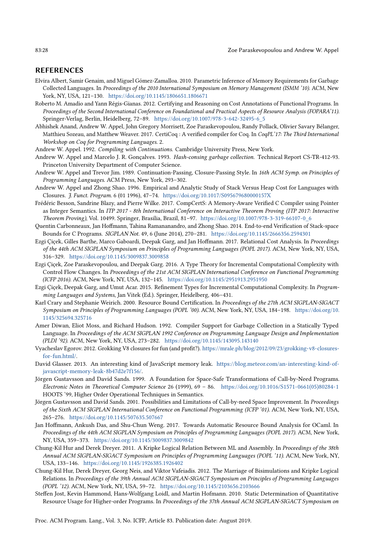## REFERENCES

- <span id="page-27-2"></span>Elvira Albert, Samir Genaim, and Miguel Gómez-Zamalloa. 2010. Parametric Inference of Memory Requirements for Garbage Collected Languages. In Proceedings of the 2010 International Symposium on Memory Management (ISMM '10). ACM, New York, NY, USA, 121-130. <https://doi.org/10.1145/1806651.1806671>
- <span id="page-27-15"></span>Roberto M. Amadio and Yann Régis-Gianas. 2012. Certifying and Reasoning on Cost Annotations of Functional Programs. In Proceedings of the Second International Conference on Foundational and Practical Aspects of Resource Analysis (FOPARA'11). Springer-Verlag, Berlin, Heidelberg, 72-89. [https://doi.org/10.1007/978-3-642-32495-6\\_5](https://doi.org/10.1007/978-3-642-32495-6_5)
- <span id="page-27-6"></span>Abhishek Anand, Andrew W. Appel, John Gregory Morrisett, Zoe Paraskevopoulou, Randy Pollack, Olivier Savary Bélanger, Matthieu Sozeau, and Matthew Weaver. 2017. CertiCoq : A verified compiler for Coq. In CoqPL'17: The Third International Workshop on Coq for Programming Languages. 2.
- <span id="page-27-4"></span>Andrew W. Appel. 1992. Compiling with Continuations. Cambridge University Press, New York.
- <span id="page-27-11"></span>Andrew W. Appel and Marcelo J. R. Gonçalves. 1993. Hash-consing garbage collection. Technical Report CS-TR-412-93. Princeton University Department of Computer Science.
- <span id="page-27-7"></span>Andrew W. Appel and Trevor Jim. 1989. Continuation-Passing, Closure-Passing Style. In 16th ACM Symp. on Principles of Programming Languages. ACM Press, New York, 293-302.
- <span id="page-27-10"></span>Andrew W. Appel and Zhong Shao. 1996. Empirical and Analytic Study of Stack Versus Heap Cost for Languages with Closures. J. Funct. Program. 6 (01 1996), 47-74. <https://doi.org/10.1017/S095679680000157X>
- <span id="page-27-16"></span>Frédéric Besson, Sandrine Blazy, and Pierre Wilke. 2017. CompCertS: A Memory-Aware Verified C Compiler using Pointer as Integer Semantics. In ITP 2017 - 8th International Conference on Interactive Theorem Proving (ITP 2017: Interactive Theorem Proving), Vol. 10499. Springer, Brasilia, Brazil, 81-97. [https://doi.org/10.1007/978-3-319-66107-0\\_6](https://doi.org/10.1007/978-3-319-66107-0_6)
- <span id="page-27-14"></span>Quentin Carbonneaux, Jan Hoffmann, Tahina Ramananandro, and Zhong Shao. 2014. End-to-end Verification of Stack-space Bounds for C Programs. SIGPLAN Not. 49, 6 (June 2014), 270-281. <https://doi.org/10.1145/2666356.2594301>
- <span id="page-27-17"></span>Ezgi Çiçek, Gilles Barthe, Marco Gaboardi, Deepak Garg, and Jan Hoffmann. 2017. Relational Cost Analysis. In Proceedings of the 44th ACM SIGPLAN Symposium on Principles of Programming Languages (POPL 2017). ACM, New York, NY, USA, 316-329. <https://doi.org/10.1145/3009837.3009858>
- <span id="page-27-18"></span>Ezgi Çiçek, Zoe Paraskevopoulou, and Deepak Garg. 2016. A Type Theory for Incremental Computational Complexity with Control Flow Changes. In Proceedings of the 21st ACM SIGPLAN International Conference on Functional Programming (ICFP 2016). ACM, New York, NY, USA, 132-145. <https://doi.org/10.1145/2951913.2951950>
- <span id="page-27-19"></span>Ezgi Çiçek, Deepak Garg, and Umut Acar. 2015. Refinement Types for Incremental Computational Complexity. In Programming Languages and Systems, Jan Vitek (Ed.). Springer, Heidelberg, 406-431.
- <span id="page-27-3"></span>Karl Crary and Stephanie Weirich. 2000. Resource Bound Certification. In Proceedings of the 27th ACM SIGPLAN-SIGACT Symposium on Principles of Programming Languages (POPL '00). ACM, New York, NY, USA, 184-198. [https://doi.org/10.](https://doi.org/10.1145/325694.325716) [1145/325694.325716](https://doi.org/10.1145/325694.325716)
- <span id="page-27-9"></span>Amer Diwan, Eliot Moss, and Richard Hudson. 1992. Compiler Support for Garbage Collection in a Statically Typed Language. In Proceedings of the ACM SIGPLAN 1992 Conference on Programming Language Design and Implementation (PLDI '92). ACM, New York, NY, USA, 273-282. <https://doi.org/10.1145/143095.143140>
- <span id="page-27-5"></span>Vyacheslav Egorov. 2012. Grokking V8 closures for fun (and profit?). [https://mrale.ph/blog/2012/09/23/grokking-v8-closures](https://mrale.ph/blog/2012/09/23/grokking-v8-closures-for-fun.html/)[for-fun.html/.](https://mrale.ph/blog/2012/09/23/grokking-v8-closures-for-fun.html/)
- <span id="page-27-8"></span>David Glasser. 2013. An interesting kind of JavaScript memory leak. [https://blog.meteor.com/an-interesting-kind-of](https://blog.meteor.com/an-interesting-kind-of-javascript-memory-leak-8b47d2e7f156/)[javascript-memory-leak-8b47d2e7f156/.](https://blog.meteor.com/an-interesting-kind-of-javascript-memory-leak-8b47d2e7f156/)
- <span id="page-27-12"></span>Jörgen Gustavsson and David Sands. 1999. A Foundation for Space-Safe Transformations of Call-by-Need Programs. Electronic Notes in Theoretical Computer Science 26 (1999), 69 - 86. [https://doi.org/10.1016/S1571-0661\(05\)80284-1](https://doi.org/10.1016/S1571-0661(05)80284-1) HOOTS '99, Higher Order Operational Techniques in Semantics.
- <span id="page-27-13"></span>Jörgen Gustavsson and David Sands. 2001. Possibilities and Limitations of Call-by-need Space Improvement. In Proceedings of the Sixth ACM SIGPLAN International Conference on Functional Programming (ICFP '01). ACM, New York, NY, USA, 265-276. <https://doi.org/10.1145/507635.507667>
- <span id="page-27-0"></span>Jan Hoffmann, Ankush Das, and Shu-Chun Weng. 2017. Towards Automatic Resource Bound Analysis for OCaml. In Proceedings of the 44th ACM SIGPLAN Symposium on Principles of Programming Languages (POPL 2017). ACM, New York, NY, USA, 359-373. <https://doi.org/10.1145/3009837.3009842>
- <span id="page-27-20"></span>Chung-Kil Hur and Derek Dreyer. 2011. A Kripke Logical Relation Between ML and Assembly. In Proceedings of the 38th Annual ACM SIGPLAN-SIGACT Symposium on Principles of Programming Languages (POPL '11). ACM, New York, NY, USA, 133-146. <https://doi.org/10.1145/1926385.1926402>
- <span id="page-27-21"></span>Chung-Kil Hur, Derek Dreyer, Georg Neis, and Viktor Vafeiadis. 2012. The Marriage of Bisimulations and Kripke Logical Relations. In Proceedings of the 39th Annual ACM SIGPLAN-SIGACT Symposium on Principles of Programming Languages (POPL '12). ACM, New York, NY, USA, 59-72. <https://doi.org/10.1145/2103656.2103666>
- <span id="page-27-1"></span>Steffen Jost, Kevin Hammond, Hans-Wolfgang Loidl, and Martin Hofmann. 2010. Static Determination of Quantitative Resource Usage for Higher-order Programs. In Proceedings of the 37th Annual ACM SIGPLAN-SIGACT Symposium on

Proc. ACM Program. Lang., Vol. 3, No. ICFP, Article 83. Publication date: August 2019.